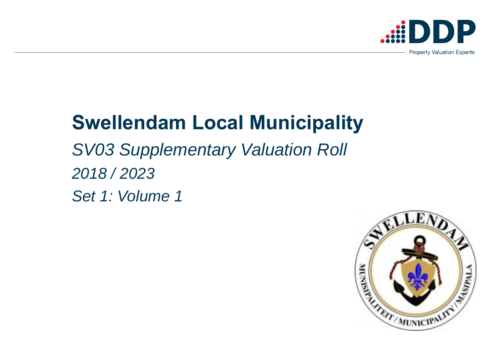# **Swellendam Local Municipality**  *SV03 Supplementary Valuation Roll 2018 / 2023 Set 1: Volume 1*





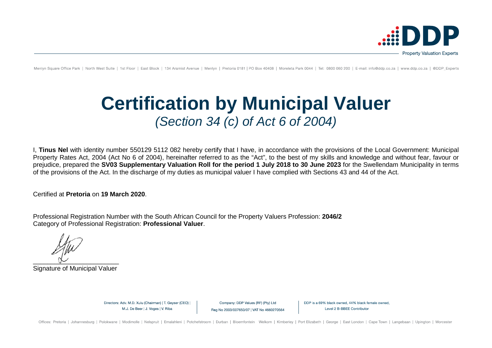

Menlyn Square Office Park | North West Suite | 1st Floor | East Block | 134 Aramist Avenue | Menlyn | Pretoria 0181 | PO Box 40408 | Moreleta Park 0044 | Tel: 0800 060 200 | E-mail: info@ddp.co.za | www.ddp.co.za | @DDP Ex

# **Certification by Municipal Valuer** *(Section 34 (c) of Act 6 of 2004)*

I, **Tinus Nel** with identity number 550129 5112 082 hereby certify that I have, in accordance with the provisions of the Local Government: Municipal Property Rates Act, 2004 (Act No 6 of 2004), hereinafter referred to as the "Act", to the best of my skills and knowledge and without fear, favour or prejudice, prepared the **SV03 Supplementary Valuation Roll for the period 1 July 2018 to 30 June 2023** for the Swellendam Municipality in terms of the provisions of the Act. In the discharge of my duties as municipal valuer I have complied with Sections 43 and 44 of the Act.

Certified at **Pretoria** on **19 March 2020**.

Professional Registration Number with the South African Council for the Property Valuers Profession: **2046/2** Category of Professional Registration: **Professional Valuer**.

 $\sim$ 

Signature of Municipal Valuer

Directors: Adv. M.D. Xulu (Chairman) | T. Geyser (CEO) | M.J. De Beer | J. Voges | V. Riba

Company: DDP Values (RF) (Pty) Ltd Reg No 2003/007650/07 | VAT No 4660270564 DDP is a 69% black owned, 44% black female owned. Level 2 B-BBEE Contributor

Offices: Pretoria | Johannesburg | Polokwane | Modimolle | Nelspruit | Emalahleni | Potchefstroom | Durban | Bloemfontein Welkom | Kimberley | Port Elizabeth | George | East London | Cape Town | Langebaan | Upington | Worc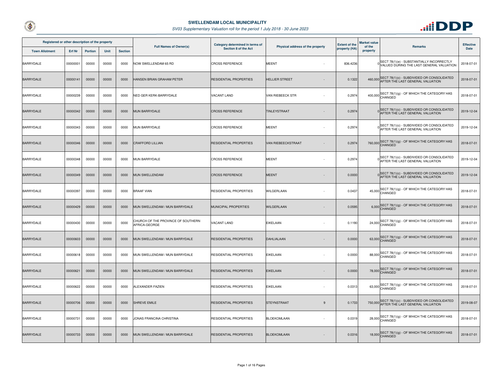



| Registered or other description of the property |          |                |             |                | <b>Full Names of Owner(s)</b>                       | Category determined in terms of<br>Physical address of the property |                         | <b>Extent of the</b> | Market value<br>of the | <b>Remarks</b>                                                                         | <b>Effective</b> |
|-------------------------------------------------|----------|----------------|-------------|----------------|-----------------------------------------------------|---------------------------------------------------------------------|-------------------------|----------------------|------------------------|----------------------------------------------------------------------------------------|------------------|
| <b>Town Allotment</b>                           | Erf Nr   | <b>Portion</b> | <b>Unit</b> | <b>Section</b> |                                                     | Section 8 of the Act                                                |                         | property (HA)        | property               |                                                                                        | <b>Date</b>      |
| BARRYDALE                                       | 00000001 | 00000          | 00000       | 0000           | NOW SWELLENDAM 65 RD                                | <b>CROSS REFERENCE</b>                                              | <b>MEENT</b>            | 836.4236             |                        | SECT 78(1)(e) - SUBSTANTIALLY INCORRECTLY<br>VALUED DURING THE LAST GENERAL VALUATION  | 2018-07-01       |
| <b>BARRYDALE</b>                                | 00000141 | 00000          | 00000       | 0000           | HANSEN BRIAN GRAHAM PETER                           | <b>RESIDENTIAL PROPERTIES</b>                                       | <b>HELLIER STREET</b>   | 0.1322               |                        | 460,000 SECT 78(1)(c) - SUBDIVIDED OR CONSOLIDATED<br>AFTER THE LAST GENERAL VALUATION | 2018-07-01       |
| <b>BARRYDALE</b>                                | 00000239 | 00000          | 00000       | 0000           | NED GER KERK-BARRYDALE                              | <b>VACANT LAND</b>                                                  | VAN RIEBEECK STR        | 0.2974               |                        | 400,000 SECT 78(1)(g) - OF WHICH THE CATEGORY HAS<br>CHANGED                           | 2018-07-01       |
| <b>BARRYDALE</b>                                | 00000342 | 00000          | 00000       | 0000           | <b>MUN BARRYDALE</b>                                | <b>CROSS REFERENCE</b>                                              | TINLEYSTRAAT            | 0.2974               |                        | SECT 78(1)(c) - SUBDIVIDED OR CONSOLIDATED<br>AFTER THE LAST GENERAL VALUATION         | 2019-12-04       |
| BARRYDALE                                       | 00000343 | 00000          | 00000       | 0000           | <b>MUN BARRYDALE</b>                                | <b>CROSS REFERENCE</b>                                              | <b>MEENT</b>            | 0.2974               |                        | OSECT 78(1)(c) - SUBDIVIDED OR CONSOLIDATED<br>AFTER THE LAST GENERAL VALUATION        | 2019-12-04       |
| <b>BARRYDALE</b>                                | 00000346 | 00000          | 00000       | 0000           | <b>CRAFFORD LILLIAN</b>                             | <b>RESIDENTIAL PROPERTIES</b>                                       | VAN RIEBEECKSTRAAT      | 0.2974               |                        | 760,000 SECT 78(1)(g) - OF WHICH THE CATEGORY HAS                                      | 2018-07-01       |
| <b>BARRYDALE</b>                                | 00000348 | 00000          | 00000       | 0000           | <b>MUN BARRYDALE</b>                                | <b>CROSS REFERENCE</b>                                              | <b>MEENT</b>            | 0.2974               |                        | SECT 78(1)(c) - SUBDIVIDED OR CONSOLIDATED<br>O AFTER THE LAST GENERAL VALUATION       | 2019-12-04       |
| <b>BARRYDALE</b>                                | 00000349 | 00000          | 00000       | 0000           | MUN SWELLENDAM                                      | <b>CROSS REFERENCE</b>                                              | <b>MEENT</b>            | 0.0000               |                        | SECT 78(1)(c) - SUBDIVIDED OR CONSOLIDATED<br>0 AFTER THE LAST GENERAL VALUATION       | 2019-12-04       |
| <b>BARRYDALE</b>                                | 00000397 | 00000          | 00000       | 0000           | <b>BRAAF VIAN</b>                                   | RESIDENTIAL PROPERTIES                                              | WILGERLAAN              | 0.0437               |                        | 45,000 SECT 78(1)(g) - OF WHICH THE CATEGORY HAS<br>CHANGED                            | 2018-07-01       |
| <b>BARRYDALE</b>                                | 00000429 | 00000          | 00000       | 0000           | MUN SWELLENDAM / MUN BARRYDALE                      | MUNICIPAL PROPERTIES                                                | WILGERLAAN              | 0.0595               |                        | SECT 78(1)(g) - OF WHICH THE CATEGORY HAS<br>6,000 CHANGED                             | 2018-07-01       |
| <b>BARRYDALE</b>                                | 00000430 | 00000          | 00000       | 0000           | CHURCH OF THE PROVINCE OF SOUTHERN<br>AFRICA-GEORGE | <b>VACANT LAND</b>                                                  | <b>EIKELAAN</b>         | 0.1190               |                        | 24,000 SECT 78(1)(g) - OF WHICH THE CATEGORY HAS                                       | 2018-07-01       |
| <b>BARRYDALE</b>                                | 00000603 | 00000          | 00000       | 0000           | MUN SWELLENDAM / MUN BARRYDALE                      | <b>RESIDENTIAL PROPERTIES</b>                                       | DAHLIALAAN              | 0.0000               |                        | 63,000 SECT 78(1)(g) - OF WHICH THE CATEGORY HAS                                       | 2018-07-01       |
| <b>BARRYDALE</b>                                | 00000618 | 00000          | 00000       | 0000           | MUN SWELLENDAM / MUN BARRYDALE                      | RESIDENTIAL PROPERTIES                                              | <b>EIKELAAN</b>         | 0.0000               |                        | 88,000 SECT 78(1)(g) - OF WHICH THE CATEGORY HAS                                       | 2018-07-01       |
| <b>BARRYDALE</b>                                | 00000621 | 00000          | 00000       | 0000           | MUN SWELLENDAM / MUN BARRYDALE                      | <b>RESIDENTIAL PROPERTIES</b>                                       | <b>EIKELAAN</b>         | 0.0000               |                        | 78,000 SECT 78(1)(g) - OF WHICH THE CATEGORY HAS                                       | 2018-07-01       |
| <b>BARRYDALE</b>                                | 00000622 | 00000          | 00000       | 0000           | ALEXANDER FAZIEN                                    | RESIDENTIAL PROPERTIES                                              | <b>EIKELAAN</b>         | 0.0313               |                        | 63,000 SECT 78(1)(g) - OF WHICH THE CATEGORY HAS                                       | 2018-07-01       |
| <b>BARRYDALE</b>                                | 00000706 | 00000          | 00000       | 0000           | <b>SHREVE EMILE</b>                                 | <b>RESIDENTIAL PROPERTIES</b>                                       | <b>STEYNSTRAAT</b><br>9 | 0.1733               |                        | SECT 78(1)(c) - SUBDIVIDED OR CONSOLIDATED<br>750,000 AFTER THE LAST GENERAL VALUATION | 2019-08-07       |
| BARRYDALE                                       | 00000731 | 00000          | 00000       | 0000           | JONAS FRANCINA CHRISTINA                            | <b>RESIDENTIAL PROPERTIES</b>                                       | <b>BLOEKOMLAAN</b>      | 0.0319               |                        | 28,000 SECT 78(1)(g) - OF WHICH THE CATEGORY HAS                                       | 2018-07-01       |
| <b>BARRYDALE</b>                                | 00000733 | 00000          | 00000       | 0000           | MUN SWELLENDAM / MUN BARRYDALE                      | RESIDENTIAL PROPERTIES                                              | <b>BLOEKOMLAAN</b>      | 0.0316               |                        | 18,000 SECT 78(1)(g) - OF WHICH THE CATEGORY HAS                                       | 2018-07-01       |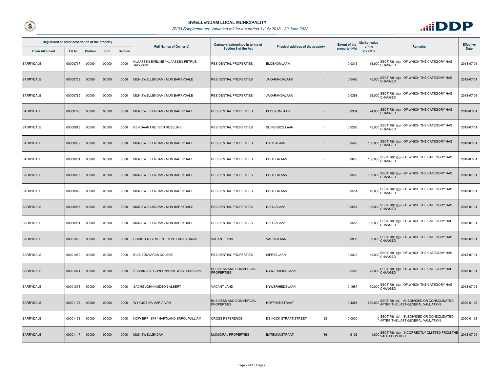



| Registered or other description of the property |               |                |       |                | <b>Full Names of Owner(s)</b>                        | Category determined in terms of                     |                                  | <b>Extent of the</b> | Market value       |                                                                                        | <b>Effective</b> |
|-------------------------------------------------|---------------|----------------|-------|----------------|------------------------------------------------------|-----------------------------------------------------|----------------------------------|----------------------|--------------------|----------------------------------------------------------------------------------------|------------------|
| <b>Town Allotment</b>                           | <b>Erf Nr</b> | <b>Portion</b> | Unit  | <b>Section</b> |                                                      | Section 8 of the Act                                | Physical address of the property | property (HA)        | of the<br>property | <b>Remarks</b>                                                                         | <b>Date</b>      |
| <b>BARRYDALE</b>                                | 00000737      | 00000          | 00000 | 0000           | KLAASSEN EVELINE / KLAASSEN PETRUS<br><b>JACOBUS</b> | RESIDENTIAL PROPERTIES                              | <b>BLOEKOMLAAN</b>               | 0.0315               |                    | 18,000 SECT 78(1)(g) - OF WHICH THE CATEGORY HAS<br>CHANGED                            | 2018-07-01       |
| <b>BARRYDALE</b>                                | 00000759      | 00000          | 00000 | 0000           | MUN SWELLENDAM / MUN BARRYDALE                       | RESIDENTIAL PROPERTIES                              | JAKARANDALAAN                    | 0.0495               |                    | 40,000 SECT 78(1)(g) - OF WHICH THE CATEGORY HAS                                       | 2018-07-01       |
| BARRYDALE                                       | 00000765      | 00000          | 00000 | 0000           | MUN SWELLENDAM / MUN BARRYDALE                       | RESIDENTIAL PROPERTIES                              | JAKARANDALAAN                    | 0.0393               |                    | 28,000 SECT 78(1)(g) - OF WHICH THE CATEGORY HAS                                       | 2018-07-01       |
| <b>BARRYDALE</b>                                | 00000778      | 00000          | 00000 | 0000           | MUN SWELLENDAM / MUN BARRYDALE                       | RESIDENTIAL PROPERTIES                              | <b>BLOEKOMLAAN</b>               | 0.0334               |                    | 24,000 SECT 78(1)(g) - OF WHICH THE CATEGORY HAS                                       | 2018-07-01       |
| <b>BARRYDALE</b>                                | 00000816      | 00000          | 00000 | 0000           | BEN DAANTJIE / BEN ROSELINE                          | RESIDENTIAL PROPERTIES                              | SUIKERBOS LAAN                   | 0.0286               |                    | 40,000 SECT 78(1)(g) - OF WHICH THE CATEGORY HAS                                       | 2018-07-01       |
| <b>BARRYDALE</b>                                | 00000932      | 00000          | 00000 | 0000           | MUN SWELLENDAM / MUN BARRYDALE                       | <b>RESIDENTIAL PROPERTIES</b>                       | DAHLIALAAN                       | 0.0468               |                    | 100,000 SECT 78(1)(g) - OF WHICH THE CATEGORY HAS                                      | 2018-07-01       |
| BARRYDALE                                       | 00000934      | 00000          | 00000 | 0000           | MUN SWELLENDAM / MUN BARRYDALE                       | RESIDENTIAL PROPERTIES                              | PROTEALAAN                       | 0.0605               |                    | 100,000 SECT 78(1)(g) - OF WHICH THE CATEGORY HAS<br>CHANGED                           | 2018-07-01       |
| <b>BARRYDALE</b>                                | 00000935      | 00000          | 00000 | 0000           | MUN SWELLENDAM / MUN BARRYDALE                       | RESIDENTIAL PROPERTIES                              | PROTEALAAN                       | 0.0550               |                    | 100,000 SECT 78(1)(g) - OF WHICH THE CATEGORY HAS                                      | 2018-07-01       |
| <b>BARRYDALE</b>                                | 00000942      | 00000          | 00000 | 0000           | MUN SWELLENDAM / MUN BARRYDALE                       | <b>RESIDENTIAL PROPERTIES</b>                       | PROTEALAAN                       | 0.0551               |                    | SECT 78(1)(g) - OF WHICH THE CATEGORY HAS<br>$40,000$ CHANGED                          | 2018-07-01       |
| <b>BARRYDALE</b>                                | 00000947      | 00000          | 00000 | 0000           | MUN SWELLENDAM / MUN BARRYDALE                       | RESIDENTIAL PROPERTIES                              | DAHLIALAAN                       | 0.0551               |                    | 100,000 SECT 78(1)(g) - OF WHICH THE CATEGORY HAS                                      | 2018-07-01       |
| BARRYDALE                                       | 00000951      | 00000          | 00000 | 0000           | MUN SWELLENDAM / MUN BARRYDALE                       | RESIDENTIAL PROPERTIES                              | DAHLIALAAN                       | 0.0553               |                    | 100,000 SECT 78(1)(g) - OF WHICH THE CATEGORY HAS                                      | 2018-07-01       |
| <b>BARRYDALE</b>                                | 00001023      | 00000          | 00000 | 0000           | CHRISTEN GEMEENTES INTERNASIONAAL                    | <b>VACANT LAND</b>                                  | VARINGLAAN                       | 0.0935               |                    | 30,000 SECT 78(1)(g) - OF WHICH THE CATEGORY HAS                                       | 2018-07-01       |
| <b>BARRYDALE</b>                                | 00001059      | 00000          | 00000 | 0000           | BUIS EDUVARDA COLENE                                 | RESIDENTIAL PROPERTIES                              | SIPRESLAAN                       | 0.0312               |                    | 40,000 SECT 78(1)(g) - OF WHICH THE CATEGORY HAS                                       | 2018-07-01       |
| <b>BARRYDALE</b>                                | 00001071      | 00000          | 00000 | 0000           | PROVINCIAL GOVERNMENT-WESTERN CAPE                   | BUSINESS AND COMMERCIAL<br><b>PROPERTIES</b>        | NYWERHEIDSLAAN                   | 0.2489               |                    | 70,000 SECT 78(1)(g) - OF WHICH THE CATEGORY HAS                                       | 2018-07-01       |
| <b>BARRYDALE</b>                                | 00001073      | 00000          | 00000 | 0000           | SACHS JOHN HUDSON ALBERT                             | VACANT LAND                                         | NYWERHEIDSLAAN                   | 0.1987               |                    | 70,000 SECT 78(1)(g) - OF WHICH THE CATEGORY HAS                                       | 2018-07-01       |
| <b>BARRYDALE</b>                                | 00001125      | 00000          | 00000 | 0000           | WYK JOSINA MARIA VAN                                 | <b>BUSINESS AND COMMERCIAL</b><br><b>PROPERTIES</b> | HOFFMANSTRAAT                    | 0.4388               |                    | SECT 78(1)(c) - SUBDIVIDED OR CONSOLIDATED<br>690,000 AFTER THE LAST GENERAL VALUATION | 2020-01-23       |
| <b>BARRYDALE</b>                                | 00001133      | 00000          | 00000 | 0000           | NOW ERF 1674 / HARTLAND ERROL WILLIAM                | <b>CROSS REFERENCE</b>                              | 28<br>DE KOCK STRAAT/STREET      | 0.0000               |                    | O SECT 78(1)(c) - SUBDIVIDED OR CONSOLIDATED<br>AFTER THE LAST GENERAL VALUATION       | 2020-01-23       |
| <b>BARRYDALE</b>                                | 00001147      | 00000          | 00000 | 0000           | <b>MUN SWELLENDAM</b>                                | MUNICIPAL PROPERTIES                                | <b>BATEMANSTRAAT</b><br>36       | 4.5126               |                    | 1,000 SECT 78(1)(a) - INCORRECTLY OMITTED FROM THE<br>VALUATION ROLL                   | 2018-07-01       |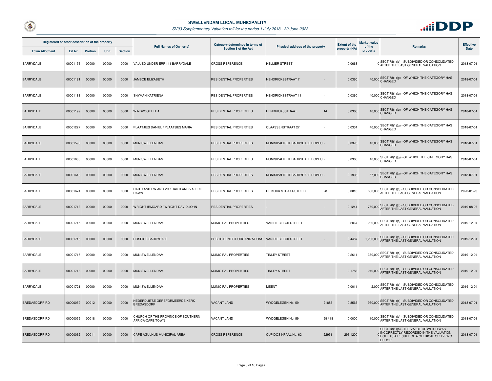



| Registered or other description of the property |          |                |             |                | <b>Full Names of Owner(s)</b>                          | Category determined in terms of | <b>Extent of the</b><br>Physical address of the property |               | Market value       |                                                                                                                                       | <b>Effective</b> |
|-------------------------------------------------|----------|----------------|-------------|----------------|--------------------------------------------------------|---------------------------------|----------------------------------------------------------|---------------|--------------------|---------------------------------------------------------------------------------------------------------------------------------------|------------------|
| <b>Town Allotment</b>                           | Erf Nr   | <b>Portion</b> | <b>Unit</b> | <b>Section</b> |                                                        | Section 8 of the Act            |                                                          | property (HA) | of the<br>property | <b>Remarks</b>                                                                                                                        | <b>Date</b>      |
| <b>BARRYDALE</b>                                | 00001156 | 00000          | 00000       | 0000           | VALUED UNDER ERF 141 BARRYDALE                         | <b>CROSS REFERENCE</b>          | <b>HELLIER STREET</b>                                    | 0.0663        |                    | O SECT 78(1)(c) - SUBDIVIDED OR CONSOLIDATED<br>AFTER THE LAST GENERAL VALUATION                                                      | 2018-07-01       |
| <b>BARRYDALE</b>                                | 00001181 | 00000          | 00000       | 0000           | JAMBOE ELIZABETH                                       | <b>RESIDENTIAL PROPERTIES</b>   | <b>HENDRICKSSTRAAT 7</b>                                 | 0.0360        |                    | 40,000 SECT 78(1)(g) - OF WHICH THE CATEGORY HAS                                                                                      | 2018-07-01       |
| <b>BARRYDALE</b>                                | 00001183 | 00000          | 00000       | 0000           | SNYMAN KATRIENA                                        | <b>RESIDENTIAL PROPERTIES</b>   | HENDRICKSSTRAAT 11                                       | 0.0360        |                    | 40,000 SECT 78(1)(g) - OF WHICH THE CATEGORY HAS<br>CHANGED                                                                           | 2018-07-01       |
| <b>BARRYDALE</b>                                | 00001199 | 00000          | 00000       | 0000           | WINDVOGEL LEA                                          | RESIDENTIAL PROPERTIES          | HENDRICKSSTRAAT<br>14                                    | 0.0366        |                    | 40,000 SECT 78(1)(g) - OF WHICH THE CATEGORY HAS                                                                                      | 2018-07-01       |
| <b>BARRYDALE</b>                                | 00001227 | 00000          | 00000       | 0000           | PLAATJIES DANIEL / PLAATJIES MARIA                     | <b>RESIDENTIAL PROPERTIES</b>   | <b>CLAASSENSTRAAT 27</b>                                 | 0.0334        |                    | 40,000 SECT 78(1)(g) - OF WHICH THE CATEGORY HAS<br>CHANGED                                                                           | 2018-07-01       |
| <b>BARRYDALE</b>                                | 00001598 | 00000          | 00000       | 0000           | MUN SWELLENDAM                                         | <b>RESIDENTIAL PROPERTIES</b>   | MUNISIPALITEIT BARRYDALE HOPHUI-                         | 0.0378        |                    | 40,000 SECT 78(1)(g) - OF WHICH THE CATEGORY HAS                                                                                      | 2018-07-01       |
| <b>BARRYDALE</b>                                | 00001600 | 00000          | 00000       | 0000           | MUN SWELLENDAM                                         | <b>RESIDENTIAL PROPERTIES</b>   | MUNISIPALITEIT BARRYDALE HOPHUI-                         | 0.0366        |                    | 40,000 SECT 78(1)(g) - OF WHICH THE CATEGORY HAS                                                                                      | 2018-07-01       |
| <b>BARRYDALE</b>                                | 00001618 | 00000          | 00000       | 0000           | MUN SWELLENDAM                                         | <b>RESIDENTIAL PROPERTIES</b>   | MUNISIPALITEIT BARRYDALE HOPHUI-                         | 0.1908        |                    | 57,000 SECT 78(1)(g) - OF WHICH THE CATEGORY HAS                                                                                      | 2018-07-01       |
| <b>BARRYDALE</b>                                | 00001674 | 00000          | 00000       | 0000           | HARTLAND EW AND VD / HARTLAND VALERIE<br>DAWN          | RESIDENTIAL PROPERTIES          | 28<br>DE KOCK STRAAT/STREET                              | 0.0810        |                    | SECT 78(1)(c) - SUBDIVIDED OR CONSOLIDATED<br>600,000 AFTER THE LAST GENERAL VALUATION                                                | 2020-01-23       |
| <b>BARRYDALE</b>                                | 00001713 | 00000          | 00000       | 0000           | WRIGHT IRMGARD / WRIGHT DAVID JOHN                     | <b>RESIDENTIAL PROPERTIES</b>   |                                                          | 0.1241        |                    | SECT 78(1)(c) - SUBDIVIDED OR CONSOLIDATED<br>750,000 AFTER THE LAST GENERAL VALUATION                                                | 2019-08-07       |
| <b>BARRYDALE</b>                                | 00001715 | 00000          | 00000       | 0000           | MUN SWELLENDAM                                         | MUNICIPAL PROPERTIES            | VAN RIEBEECK STREET                                      | 0.2067        |                    | 280,000 SECT 78(1)(c) - SUBDIVIDED OR CONSOLIDATED<br>AFTER THE LAST GENERAL VALUATION                                                | 2019-12-04       |
| <b>BARRYDALE</b>                                | 00001716 | 00000          | 00000       | 0000           | HOSPICE-BARRYDALE                                      | PUBLIC BENEFIT ORGANIZATIONS    | VAN RIEBEECK STREET                                      | 0.4487        |                    | 1,200,000 SECT 78(1)(c) - SUBDIVIDED OR CONSOLIDATED<br>1,200,000 AFTER THE LAST GENERAL VALUATION                                    | 2019-12-04       |
| <b>BARRYDALE</b>                                | 00001717 | 00000          | 00000       | 0000           | MUN SWELLENDAM                                         | MUNICIPAL PROPERTIES            | <b>TINLEY STREET</b>                                     | 0.261         |                    | 350,000 SECT 78(1)(c) - SUBDIVIDED OR CONSOLIDATED<br>AFTER THE LAST GENERAL VALUATION                                                | 2019-12-04       |
| <b>BARRYDALE</b>                                | 00001718 | 00000          | 00000       | 0000           | MUN SWELLENDAM                                         | MUNICIPAL PROPERTIES            | <b>TINLEY STREET</b>                                     | 0.1783        |                    | SECT 78(1)(c) - SUBDIVIDED OR CONSOLIDATED<br>240,000 AFTER THE LAST GENERAL VALUATION                                                | 2019-12-04       |
| BARRYDALE                                       | 00001721 | 00000          | 00000       | 0000           | MUN SWELLENDAM                                         | MUNICIPAL PROPERTIES            | <b>MEENT</b>                                             | 0.0011        |                    | 2,000 SECT 78(1)(c) - SUBDIVIDED OR CONSOLIDATED                                                                                      | 2019-12-04       |
| <b>BREDASDORP RD</b>                            | 00000059 | 00012          | 00000       | 0000           | NEDERDUITSE GEREFORMEERDE KERK<br><b>BREDASDORP</b>    | <b>VACANT LAND</b>              | WYDGELEGEN No. 59<br>21885                               | 0.8565        |                    | SECT 78(1)(c) - SUBDIVIDED OR CONSOLIDATED<br>930,000 AFTER THE LAST GENERAL VALUATION                                                | 2018-07-01       |
| <b>BREDASDORP RD</b>                            | 00000059 | 00018          | 00000       | 0000           | CHURCH OF THE PROVINCE OF SOUTHERN<br>AFRICA-CAPE TOWN | VACANT LAND                     | WYDGELEGEN No. 59<br>59/18                               | 0.0000        |                    | SECT 78(1)(c) - SUBDIVIDED OR CONSOLIDATED<br>10,000 AFTER THE LAST GENERAL VALUATION                                                 | 2018-07-01       |
| <b>BREDASDORP RD</b>                            | 00000062 | 00011          | 00000       | 0000           | CAPE AGULHUS MUNICIPAL AREA                            | <b>CROSS REFERENCE</b>          | CUPIDOS KRAAL No. 62<br>22951                            | 296.1200      |                    | SECT 78(1)(h) - THE VALUE OF WHICH WAS<br>INCORRECTLY RECORDED IN THE VALUATION<br>ROLL AS A RESULT OF A CLERICAL OR TYPING<br>ERROR. | 2018-07-01       |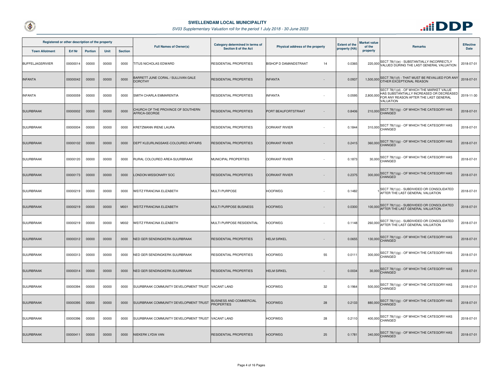



| Registered or other description of the property |          |                |             | <b>Full Names of Owner(s)</b> | Category determined in terms of<br><b>Extent of the</b><br>Physical address of the property | Market value<br>of the                              | <b>Remarks</b>              | <b>Effective</b> |           |                                                                                                                                             |            |
|-------------------------------------------------|----------|----------------|-------------|-------------------------------|---------------------------------------------------------------------------------------------|-----------------------------------------------------|-----------------------------|------------------|-----------|---------------------------------------------------------------------------------------------------------------------------------------------|------------|
| <b>Town Allotment</b>                           | Erf Nr   | <b>Portion</b> | <b>Unit</b> | <b>Section</b>                |                                                                                             | Section 8 of the Act                                |                             | property (HA)    | property  |                                                                                                                                             | Date       |
| BUFFELJAGSRIVIER                                | 00000014 | 00000          | 00000       | 0000                          | TITUS NICHOLAS EDWARD                                                                       | RESIDENTIAL PROPERTIES                              | BISHOP D DAMANDSTRAAT<br>14 | 0.0365           | 220,000   | SECT 78(1)(e) - SUBSTANTIALLY INCORRECTLY<br>VALUED DURING THE LAST GENERAL VALUATION                                                       | 2018-07-01 |
| <b>INFANTA</b>                                  | 00000042 | 00000          | 00000       | 0000                          | BARRETT JUNE CORAL / SULLIVAN GALE<br><b>DOROTHY</b>                                        | RESIDENTIAL PROPERTIES                              | <b>INFANTA</b>              | 0.0937           |           | 1,500,000 SECT 78(1)(f) - THAT MUST BE REVALUED FOR ANY<br>OTHER EXCEPTIONAL REASON                                                         | 2018-07-01 |
| <b>INFANTA</b>                                  | 00000059 | 00000          | 00000       | 0000                          | SMITH CHARLA EMMARENTIA                                                                     | <b>RESIDENTIAL PROPERTIES</b>                       | <b>INFANTA</b>              | 0.0595           | 2,800,000 | SECT 78(1)(d) - OF WHICH THE MARKET VALUE<br>HAS SUBSTANTIALLY INCREASED OR DECREASED<br>FOR ANY REASON AFTER THE LAST GENERAL<br>VALUATION | 2019-11-30 |
| <b>SUURBRAAK</b>                                | 00000002 | 00000          | 00000       | 0000                          | CHURCH OF THE PROVINCE OF SOUTHERN<br>AFRICA-GEORGE                                         | <b>RESIDENTIAL PROPERTIES</b>                       | PORT BEAUFORTSTRAAT         | 0.8406           |           | 210,000 SECT 78(1)(g) - OF WHICH THE CATEGORY HAS                                                                                           | 2018-07-01 |
| <b>SUURBRAAK</b>                                | 00000004 | 00000          | 00000       | 0000                          | KRETZMANN IRENE LAURA                                                                       | RESIDENTIAL PROPERTIES                              | <b>OORKANT RIVIER</b>       | 0.1844           |           | 310,000 SECT 78(1)(g) - OF WHICH THE CATEGORY HAS                                                                                           | 2018-07-01 |
| <b>SUURBRAAK</b>                                | 00000102 | 00000          | 00000       | 0000                          | DEPT KLEURLINGSAKE-COLOURED AFFAIRS                                                         | <b>RESIDENTIAL PROPERTIES</b>                       | <b>OORKANT RIVIER</b>       | 0.2415           |           | 360,000 SECT 78(1)(g) - OF WHICH THE CATEGORY HAS                                                                                           | 2018-07-01 |
| <b>SUURBRAAK</b>                                | 00000120 | 00000          | 00000       | 0000                          | RURAL COLOURED AREA-SUURBRAAK                                                               | MUNICIPAL PROPERTIES                                | <b>OORKANT RIVIER</b>       | 0.1873           |           | 30,000 SECT 78(1)(g) - OF WHICH THE CATEGORY HAS                                                                                            | 2018-07-01 |
| <b>SUURBRAAK</b>                                | 00000173 | 00000          | 00000       | 0000                          | LONDON MISSIONARY SOC                                                                       | <b>RESIDENTIAL PROPERTIES</b>                       | <b>OORKANT RIVIER</b>       | 0.2375           |           | 300,000 SECT 78(1)(g) - OF WHICH THE CATEGORY HAS                                                                                           | 2018-07-01 |
| <b>SUURBRAAK</b>                                | 00000219 | 00000          | 00000       | 0000                          | WEITZ FRANCINA ELIZABETH                                                                    | <b>MULTI PURPOSE</b>                                | <b>HOOFWEG</b>              | 0.1482           |           | SECT 78(1)(c) - SUBDIVIDED OR CONSOLIDATED<br>AFTER THE LAST GENERAL VALUATION                                                              | 2018-07-01 |
| <b>SUURBRAAK</b>                                | 00000219 | 00000          | 00000       | M001                          | WEITZ FRANCINA ELIZABETH                                                                    | MULTI PURPOSE BUSINESS                              | <b>HOOFWEG</b>              | 0.0300           | 100,000   | SECT 78(1)(c) - SUBDIVIDED OR CONSOLIDATED<br>AFTER THE LAST GENERAL VALUATION                                                              | 2018-07-01 |
| <b>SUURBRAAK</b>                                | 00000219 | 00000          | 00000       | M002                          | WEITZ FRANCINA ELIZABETH                                                                    | MULTI PURPOSE RESIDENTIAL                           | <b>HOOFWEG</b>              | 0.1148           |           | 260,000 SECT 78(1)(c) - SUBDIVIDED OR CONSOLIDATED<br>AFTER THE LAST GENERAL VALUATION                                                      | 2018-07-01 |
| <b>SUURBRAAK</b>                                | 00000312 | 00000          | 00000       | 0000                          | NED GER SENDINGKERK-SUURBRAAK                                                               | <b>RESIDENTIAL PROPERTIES</b>                       | <b>HELM SIRKEL</b>          | 0.0655           |           | 130,000 SECT 78(1)(g) - OF WHICH THE CATEGORY HAS                                                                                           | 2018-07-01 |
| <b>SUURBRAAK</b>                                | 00000313 | 00000          | 00000       | 0000                          | NED GER SENDINGKERK-SUURBRAAK                                                               | <b>RESIDENTIAL PROPERTIES</b>                       | <b>HOOFWEG</b><br>55        | 0.011            |           | 300,000 SECT 78(1)(g) - OF WHICH THE CATEGORY HAS                                                                                           | 2018-07-01 |
| <b>SUURBRAAK</b>                                | 00000314 | 00000          | 00000       | 0000                          | NED GER SENDINGKERK-SUURBRAAK                                                               | RESIDENTIAL PROPERTIES                              | <b>HELM SIRKEL</b>          | 0.0034           |           | 30,000 SECT 78(1)(g) - OF WHICH THE CATEGORY HAS                                                                                            | 2018-07-01 |
| <b>SUURBRAAK</b>                                | 00000394 | 00000          | 00000       | 0000                          | SUURBRAAK COMMUNITY DEVELOPMENT TRUST VACANT LAND                                           |                                                     | <b>HOOFWEG</b><br>32        | 0.1964           |           | 500,000 SECT 78(1)(g) - OF WHICH THE CATEGORY HAS                                                                                           | 2018-07-01 |
| <b>SUURBRAAK</b>                                | 00000395 | 00000          | 00000       | 0000                          | SUURBRAAK COMMUNITY DEVELOPMENT TRUST                                                       | <b>BUSINESS AND COMMERCIAL</b><br><b>PROPERTIES</b> | <b>HOOFWEG</b><br>28        | 0.2133           |           | 880,000 SECT 78(1)(g) - OF WHICH THE CATEGORY HAS                                                                                           | 2018-07-01 |
| <b>SUURBRAAK</b>                                | 00000396 | 00000          | 00000       | 0000                          | SUURBRAAK COMMUNITY DEVELOPMENT TRUST VACANT LAND                                           |                                                     | <b>HOOFWEG</b><br>28        | 0.2110           |           | 400,000 SECT 78(1)(g) - OF WHICH THE CATEGORY HAS                                                                                           | 2018-07-01 |
| <b>SUURBRAAK</b>                                | 00000411 | 00000          | 00000       | 0000                          | NIEKERK LYDIA VAN                                                                           | <b>RESIDENTIAL PROPERTIES</b>                       | <b>HOOFWEG</b><br>25        | 0.1781           |           | 340,000 SECT 78(1)(g) - OF WHICH THE CATEGORY HAS                                                                                           | 2018-07-01 |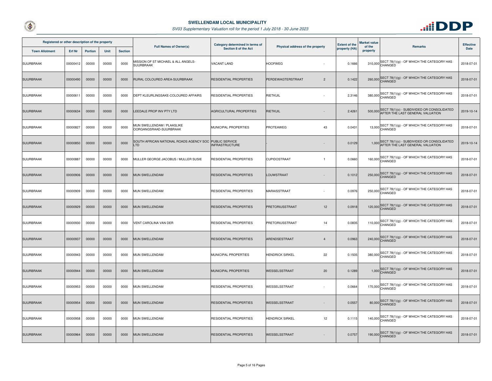



| Registered or other description of the property |          |                |             |                | <b>Full Names of Owner(s)</b>                                 | Category determined in terms of<br>Physical address of the property | <b>Extent of the</b>                | Market value<br>of the | <b>Remarks</b> | <b>Effective</b>                                                                     |            |
|-------------------------------------------------|----------|----------------|-------------|----------------|---------------------------------------------------------------|---------------------------------------------------------------------|-------------------------------------|------------------------|----------------|--------------------------------------------------------------------------------------|------------|
| <b>Town Allotment</b>                           | Erf Nr   | <b>Portion</b> | <b>Unit</b> | <b>Section</b> |                                                               | Section 8 of the Act                                                |                                     | property (HA)          | property       |                                                                                      | Date       |
| SUURBRAAK                                       | 00000412 | 00000          | 00000       | 0000           | MISSION OF ST MICHAEL & ALL ANGELS-<br>SUURBRAAK              | VACANT LAND                                                         | <b>HOOFWEG</b>                      | 0.1666                 |                | 310,000 SECT 78(1)(g) - OF WHICH THE CATEGORY HAS                                    | 2018-07-01 |
| <b>SUURBRAAK</b>                                | 00000490 | 00000          | 00000       | 0000           | RURAL COLOURED AREA-SUURBRAAK                                 | <b>RESIDENTIAL PROPERTIES</b>                                       | PERDEWAGTERSTRAAT<br>$\overline{2}$ | 0.1422                 |                | 260,000 SECT 78(1)(g) - OF WHICH THE CATEGORY HAS                                    | 2018-07-01 |
| <b>SUURBRAAK</b>                                | 00000611 | 00000          | 00000       | 0000           | DEPT KLEURLINGSAKE-COLOURED AFFAIRS                           | <b>RESIDENTIAL PROPERTIES</b>                                       | RIETKUIL                            | 2.3146                 |                | 380,000 SECT 78(1)(g) - OF WHICH THE CATEGORY HAS                                    | 2018-07-01 |
| <b>SUURBRAAK</b>                                | 00000634 | 00000          | 00000       | 0000           | LEEDALE PROP INV PTY LTD                                      | <b>AGRICULTURAL PROPERTIES</b>                                      | RIETKUIL                            | 2.4261                 | 500,000        | SECT 78(1)(c) - SUBDIVIDED OR CONSOLIDATED<br>AFTER THE LAST GENERAL VALUATION       | 2019-10-14 |
| <b>SUURBRAAK</b>                                | 00000827 | 00000          | 00000       | 0000           | MUN SWELLENDAM / PLAASLIKE<br>OORGANGSRAAD-SUURBRAAK          | MUNICIPAL PROPERTIES                                                | PROTEAWEG<br>43                     | 0.0431                 |                | 13,000 SECT 78(1)(g) - OF WHICH THE CATEGORY HAS                                     | 2018-07-01 |
| <b>SUURBRAAK</b>                                | 00000850 | 00000          | 00000       | 0000           | SOUTH AFRICAN NATIONAL ROADS AGENCY SOC PUBLIC SERVICE<br>TD. | <b>INFRASTRUCTURE</b>                                               |                                     | 0.0129                 |                | 1,000 SECT 78(1)(c) - SUBDIVIDED OR CONSOLIDATED<br>AFTER THE LAST GENERAL VALUATION | 2019-10-14 |
| <b>SUURBRAAK</b>                                | 00000887 | 00000          | 00000       | 0000           | MULLER GEORGE JACOBUS / MULLER SUSIE                          | <b>RESIDENTIAL PROPERTIES</b>                                       | CUPIDOSTRAAT<br>$\overline{1}$      | 0.0660                 |                | 160,000 SECT 78(1)(g) - OF WHICH THE CATEGORY HAS                                    | 2018-07-01 |
| <b>SUURBRAAK</b>                                | 00000906 | 00000          | 00000       | 0000           | MUN SWELLENDAM                                                | <b>RESIDENTIAL PROPERTIES</b>                                       | LOUWSTRAAT                          | 0.1012                 |                | 250,000 SECT 78(1)(g) - OF WHICH THE CATEGORY HAS                                    | 2018-07-01 |
| <b>SUURBRAAK</b>                                | 00000909 | 00000          | 00000       | 0000           | MUN SWELLENDAM                                                | <b>RESIDENTIAL PROPERTIES</b>                                       | MARAISSTRAAT                        | 0.0976                 |                | 250,000 SECT 78(1)(g) - OF WHICH THE CATEGORY HAS                                    | 2018-07-01 |
| <b>SUURBRAAK</b>                                | 00000929 | 00000          | 00000       | 0000           | MUN SWELLENDAM                                                | <b>RESIDENTIAL PROPERTIES</b>                                       | 12<br>PRETORIUSSTRAAT               | 0.0918                 |                | 120,000 SECT 78(1)(g) - OF WHICH THE CATEGORY HAS                                    | 2018-07-01 |
| <b>SUURBRAAK</b>                                | 00000930 | 00000          | 00000       | 0000           | VENT CAROLINA VAN DER                                         | <b>RESIDENTIAL PROPERTIES</b>                                       | PRETORIUSSTRAAT<br>14               | 0.0835                 |                | 110,000 SECT 78(1)(g) - OF WHICH THE CATEGORY HAS                                    | 2018-07-01 |
| <b>SUURBRAAK</b>                                | 00000937 | 00000          | 00000       | 0000           | MUN SWELLENDAM                                                | <b>RESIDENTIAL PROPERTIES</b>                                       | ARENDSESTRAAT<br>$\overline{4}$     | 0.0963                 |                | 240,000 SECT 78(1)(g) - OF WHICH THE CATEGORY HAS                                    | 2018-07-01 |
| <b>SUURBRAAK</b>                                | 00000943 | 00000          | 00000       | 0000           | MUN SWELLENDAM                                                | MUNICIPAL PROPERTIES                                                | 22<br><b>HENDRICK SIRKEL</b>        | 0.1505                 |                | 380,000 SECT 78(1)(g) - OF WHICH THE CATEGORY HAS                                    | 2018-07-01 |
| <b>SUURBRAAK</b>                                | 00000944 | 00000          | 00000       | 0000           | <b>MUN SWELLENDAM</b>                                         | MUNICIPAL PROPERTIES                                                | <b>WESSELSSTRAAT</b><br>20          | 0.1289                 |                | 1,000 SECT 78(1)(g) - OF WHICH THE CATEGORY HAS                                      | 2018-07-01 |
| <b>SUURBRAAK</b>                                | 00000953 | 00000          | 00000       | 0000           | MUN SWELLENDAM                                                | <b>RESIDENTIAL PROPERTIES</b>                                       | WESSELSSTRAAT                       | 0.0664                 |                | 170,000 SECT 78(1)(g) - OF WHICH THE CATEGORY HAS                                    | 2018-07-01 |
| <b>SUURBRAAK</b>                                | 00000954 | 00000          | 00000       | 0000           | MUN SWELLENDAM                                                | <b>RESIDENTIAL PROPERTIES</b>                                       | WESSELSSTRAAT                       | 0.0557                 |                | 80,000 SECT 78(1)(g) - OF WHICH THE CATEGORY HAS                                     | 2018-07-01 |
| <b>SUURBRAAK</b>                                | 00000958 | 00000          | 00000       | 0000           | MUN SWELLENDAM                                                | RESIDENTIAL PROPERTIES                                              | <b>HENDRICK SIRKEL</b><br>12        | 0.1115                 |                | 140,000 SECT 78(1)(g) - OF WHICH THE CATEGORY HAS                                    | 2018-07-01 |
| <b>SUURBRAAK</b>                                | 00000964 | 00000          | 00000       | 0000           | <b>MUN SWELLENDAM</b>                                         | <b>RESIDENTIAL PROPERTIES</b>                                       | WESSELSSTRAAT                       | 0.0757                 |                | 190,000 SECT 78(1)(g) - OF WHICH THE CATEGORY HAS                                    | 2018-07-01 |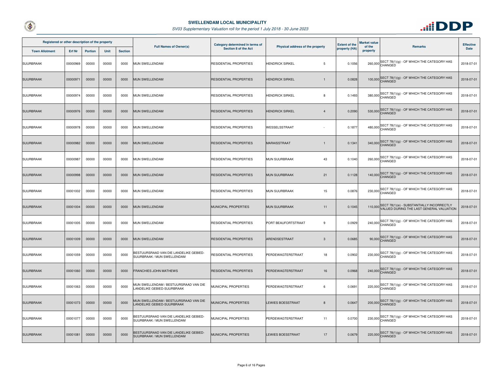



| Registered or other description of the property |               |                |       |                | <b>Full Names of Owner(s)</b>                                        | Category determined in terms of |                                          | <b>Extent of the</b> | Market value       |                                                                                       | <b>Effective</b> |
|-------------------------------------------------|---------------|----------------|-------|----------------|----------------------------------------------------------------------|---------------------------------|------------------------------------------|----------------------|--------------------|---------------------------------------------------------------------------------------|------------------|
| <b>Town Allotment</b>                           | <b>Erf Nr</b> | <b>Portion</b> | Unit  | <b>Section</b> |                                                                      | Section 8 of the Act            | Physical address of the property         | property (HA)        | of the<br>property | <b>Remarks</b>                                                                        | <b>Date</b>      |
| SUURBRAAK                                       | 00000969      | 00000          | 00000 | 0000           | MUN SWELLENDAM                                                       | RESIDENTIAL PROPERTIES          | <b>HENDRICK SIRKEL</b><br>$5^{\circ}$    | 0.1056               |                    | 260,000 SECT 78(1)(g) - OF WHICH THE CATEGORY HAS                                     | 2018-07-01       |
| <b>SUURBRAAK</b>                                | 0000097       | 00000          | 00000 | 0000           | MUN SWELLENDAM                                                       | RESIDENTIAL PROPERTIES          | <b>HENDRICK SIRKEL</b><br>$\overline{1}$ | 0.0828               |                    | 100,000 SECT 78(1)(g) - OF WHICH THE CATEGORY HAS                                     | 2018-07-01       |
| SUURBRAAK                                       | 00000974      | 00000          | 00000 | 0000           | <b>MUN SWELLENDAM</b>                                                | RESIDENTIAL PROPERTIES          | <b>HENDRICK SIRKEL</b><br>8              | 0.1493               |                    | 380,000 SECT 78(1)(g) - OF WHICH THE CATEGORY HAS                                     | 2018-07-01       |
| <b>SUURBRAAK</b>                                | 00000976      | 00000          | 00000 | 0000           | MUN SWELLENDAM                                                       | RESIDENTIAL PROPERTIES          | <b>HENDRICK SIRKEL</b><br>$\overline{4}$ | 0.2090               |                    | 530,000 SECT 78(1)(g) - OF WHICH THE CATEGORY HAS                                     | 2018-07-01       |
| SUURBRAAK                                       | 00000978      | 00000          | 00000 | 0000           | MUN SWELLENDAM                                                       | RESIDENTIAL PROPERTIES          | WESSELSSTRAAT                            | 0.1877               |                    | 480,000 SECT 78(1)(g) - OF WHICH THE CATEGORY HAS                                     | 2018-07-01       |
| <b>SUURBRAAK</b>                                | 00000982      | 00000          | 00000 | 0000           | <b>MUN SWELLENDAM</b>                                                | <b>RESIDENTIAL PROPERTIES</b>   | <b>MARAISSTRAAT</b><br>$\overline{1}$    | 0.1341               |                    | 340,000 SECT 78(1)(g) - OF WHICH THE CATEGORY HAS                                     | 2018-07-01       |
| <b>SUURBRAAK</b>                                | 00000987      | 00000          | 00000 | 0000           | MUN SWELLENDAM                                                       | RESIDENTIAL PROPERTIES          | MUN SUURBRAAK<br>43                      | 0.1040               |                    | 260,000 SECT 78(1)(g) - OF WHICH THE CATEGORY HAS                                     | 2018-07-01       |
| <b>SUURBRAAK</b>                                | 00000998      | 00000          | 00000 | 0000           | MUN SWELLENDAM                                                       | RESIDENTIAL PROPERTIES          | MUN SUURBRAAK<br>21                      | 0.1128               |                    | 140,000 SECT 78(1)(g) - OF WHICH THE CATEGORY HAS                                     | 2018-07-01       |
| <b>SUURBRAAK</b>                                | 00001002      | 00000          | 00000 | 0000           | <b>MUN SWELLENDAM</b>                                                | <b>RESIDENTIAL PROPERTIES</b>   | MUN SUURBRAAK<br>15                      | 0.0876               |                    | SECT 78(1)(g) - OF WHICH THE CATEGORY HAS<br>$230,000$ CHANGED                        | 2018-07-01       |
| <b>SUURBRAAK</b>                                | 00001004      | 00000          | 00000 | 0000           | MUN SWELLENDAM                                                       | MUNICIPAL PROPERTIES            | <b>MUN SUURBRAAK</b><br>11               | 0.1045               | 110,000            | SECT 78(1)(e) - SUBSTANTIALLY INCORRECTLY<br>VALUED DURING THE LAST GENERAL VALUATION | 2018-07-01       |
| <b>SUURBRAAK</b>                                | 00001005      | 00000          | 00000 | 0000           | MUN SWELLENDAM                                                       | RESIDENTIAL PROPERTIES          | PORT BEAUFORTSTRAAT<br>9                 | 0.0929               |                    | 240,000 SECT 78(1)(g) - OF WHICH THE CATEGORY HAS                                     | 2018-07-01       |
| <b>SUURBRAAK</b>                                | 00001009      | 00000          | 00000 | 0000           | <b>MUN SWELLENDAM</b>                                                | RESIDENTIAL PROPERTIES          | ARENDSESTRAAT<br>3                       | 0.0685               |                    | 90,000 SECT 78(1)(g) - OF WHICH THE CATEGORY HAS<br>CHANGED                           | 2018-07-01       |
| <b>SUURBRAAK</b>                                | 00001059      | 00000          | 00000 | 0000           | BESTUURSRAAD VAN DIE LANDELIKE GEBIED-<br>SUURBRAAK / MUN SWELLENDAM | RESIDENTIAL PROPERTIES          | PERDEWAGTERSTRAAT<br>18                  | 0.0902               |                    | 230,000 SECT 78(1)(g) - OF WHICH THE CATEGORY HAS                                     | 2018-07-01       |
| <b>SUURBRAAK</b>                                | 00001060      | 00000          | 00000 | 0000           | FRANCHIES JOHN MATHEWS                                               | RESIDENTIAL PROPERTIES          | 16<br>PERDEWAGTERSTRAAT                  | 0.0968               |                    | 240,000 SECT 78(1)(g) - OF WHICH THE CATEGORY HAS                                     | 2018-07-01       |
| <b>SUURBRAAK</b>                                | 00001063      | 00000          | 00000 | 0000           | MUN SWELLENDAM / BESTUURSRAAD VAN DIE<br>LANDELIKE GEBIED-SUURBRAAK  | MUNICIPAL PROPERTIES            | PERDEWAGTERSTRAAT<br>6                   | 0.0691               |                    | 220,000 SECT 78(1)(g) - OF WHICH THE CATEGORY HAS                                     | 2018-07-01       |
| <b>SUURBRAAK</b>                                | 00001073      | 00000          | 00000 | 0000           | MUN SWELLENDAM / BESTUURSRAAD VAN DIE<br>LANDELIKE GEBIED-SUURBRAAK  | MUNICIPAL PROPERTIES            | <b>LEWIES BOESSTRAAT</b><br>8            | 0.0647               |                    | 200,000 SECT 78(1)(g) - OF WHICH THE CATEGORY HAS                                     | 2018-07-01       |
| SUURBRAAK                                       | 00001077      | 00000          | 00000 | 0000           | BESTUURSRAAD VAN DIE LANDELIKE GEBIED-<br>SUURBRAAK / MUN SWELLENDAM | MUNICIPAL PROPERTIES            | PERDEWAGTERSTRAAT<br>11                  | 0.0700               |                    | 230,000 SECT 78(1)(g) - OF WHICH THE CATEGORY HAS                                     | 2018-07-01       |
| <b>SUURBRAAK</b>                                | 00001081      | 00000          | 00000 | 0000           | BESTUURSRAAD VAN DIE LANDELIKE GEBIED-<br>SUURBRAAK / MUN SWELLENDAM | MUNICIPAL PROPERTIES            | <b>LEWIES BOESSTRAAT</b><br>17           | 0.0679               |                    | 220,000 SECT 78(1)(g) - OF WHICH THE CATEGORY HAS                                     | 2018-07-01       |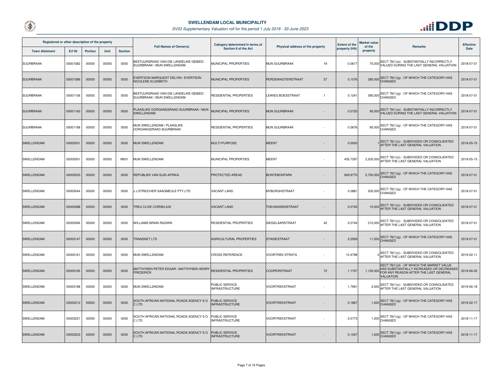



| Registered or other description of the property |               |                |       |                | <b>Full Names of Owner(s)</b>                                        | Category determined in terms of                |                                            | <b>Extent of the</b> | <b>Market value</b> |                                                                                                              | <b>Effective</b> |
|-------------------------------------------------|---------------|----------------|-------|----------------|----------------------------------------------------------------------|------------------------------------------------|--------------------------------------------|----------------------|---------------------|--------------------------------------------------------------------------------------------------------------|------------------|
| <b>Town Allotment</b>                           | <b>Erf Nr</b> | <b>Portion</b> | Unit  | <b>Section</b> |                                                                      | Section 8 of the Act                           | Physical address of the property           | property (HA)        | of the<br>property  | <b>Remarks</b>                                                                                               | <b>Date</b>      |
| <b>SUURBRAAK</b>                                | 00001082      | 00000          | 00000 | 0000           | BESTUURSRAAD VAN DIE LANDELIKE GEBIED-<br>SUURBRAAK / MUN SWELLENDAM | MUNICIPAL PROPERTIES                           | <b>MUN SUURBRAAK</b><br>19                 | 0.0617               |                     | 70,000 SECT 78(1)(e) - SUBSTANTIALLY INCORRECTLY<br>VALUED DURING THE LAST GENERAL VALUATION                 | 2018-07-01       |
| <b>SUURBRAAK</b>                                | 00001086      | 00000          | 00000 | 0000           | EVERTSON MARQUEST DELVIN / EVERTSON<br><b>NICOLENE ELIZABETH</b>     | MUNICIPAL PROPERTIES                           | 27<br>PERDEWAGTERSTRAAT                    | 0.1076               |                     | 280,000 SECT 78(1)(g) - OF WHICH THE CATEGORY HAS                                                            | 2018-07-01       |
| <b>SUURBRAAK</b>                                | 00001106      | 00000          | 00000 | 0000           | BESTUURSRAAD VAN DIE LANDELIKE GEBIED-<br>SUURBRAAK / MUN SWELLENDAM | RESIDENTIAL PROPERTIES                         | <b>LEWIES BOESSTRAAT</b><br>$\overline{1}$ | 0.1241               |                     | SECT 78(1)(g) - OF WHICH THE CATEGORY HAS<br>390,000 CHANGED                                                 | 2018-07-01       |
| <b>SUURBRAAK</b>                                | 00001160      | 00000          | 00000 | 0000           | PLAASLIKE OORGANGSRAAD-SUURBRAAK / MUN<br>SWELLENDAM                 | MUNICIPAL PROPERTIES                           | <b>MUN SUURBRAAK</b>                       | 0.0720               |                     | 90,000 SECT 78(1)(e) - SUBSTANTIALLY INCORRECTLY<br>VALUED DURING THE LAST GENERAL VALUATION                 | 2018-07-01       |
| SUURBRAAK                                       | 00001168      | 00000          | 00000 | 0000           | MUN SWELLENDAM / PLAASLIKE<br>OORGANGSRAAD-SUURBRAAK                 | <b>RESIDENTIAL PROPERTIES</b>                  | <b>MUN SUURBRAAK</b>                       | 0.0676               |                     | 90,000 SECT 78(1)(g) - OF WHICH THE CATEGORY HAS                                                             | 2018-07-01       |
| <b>SWELLENDAM</b>                               | 00000001      | 00000          | 00000 | 0000           | <b>MUN SWELLENDAM</b>                                                | <b>MULTI PURPOSE</b>                           | <b>MEENT</b>                               | 0.0000               |                     | SECT 78(1)(c) - SUBDIVIDED OR CONSOLIDATED<br>AFTER THE LAST GENERAL VALUATION                               | 2019-05-15       |
| SWELLENDAM                                      | 00000001      | 00000          | 00000 | M001           | MUN SWELLENDAM                                                       | MUNICIPAL PROPERTIES                           | <b>MEENT</b>                               | 435.7297             |                     | 2,200,000 SECT 78(1)(c) - SUBDIVIDED OR CONSOLIDATED<br>AFTER THE LAST GENERAL VALUATION                     | 2019-05-15       |
| <b>SWELLENDAM</b>                               | 00000023      | 00000          | 00000 | 0000           | REPUBLIEK VAN SUID-AFRIKA                                            | <b>PROTECTED AREAS</b>                         | <b>BONTEBOKPARK</b>                        | 949.9770             |                     | 5,700,000 SECT 78(1)(g) - OF WHICH THE CATEGORY HAS                                                          | 2018-07-01       |
| SWELLENDAM                                      | 00000044      | 00000          | 00000 | 0000           | J J STREICHER SAAGMEULE PTY LTD                                      | VACANT LAND                                    | <b>MYBURGHSTRAAT</b>                       | 0.0881               |                     | SECT 78(1)(g) - OF WHICH THE CATEGORY HAS<br>$200,000$ <sup>SL</sup>                                         | 2018-07-01       |
| <b>SWELLENDAM</b>                               | 00000088      | 00000          | 00000 | 0000           | TREU CLIVE CORNELIUS                                                 | <b>VACANT LAND</b>                             | THEUNISSENSTRAAT                           | 0.0745               |                     | SECT 78(1)(c) - SUBDIVIDED OR CONSOLIDATED<br>10,000 AFTER THE LAST GENERAL VALUATION                        | 2018-07-01       |
| SWELLENDAM                                      | 00000094      | 00000          | 00000 | 0000           | <b>WILLIAMS BRAIN RAZARK</b>                                         | RESIDENTIAL PROPERTIES                         | SIEGELAARSTRAAT<br>42                      | 0.0744               |                     | 210,000 SECT 78(1)(c) - SUBDIVIDED OR CONSOLIDATED<br>AFTER THE LAST GENERAL VALUATION                       | 2018-07-01       |
| <b>SWELLENDAM</b>                               | 00000147      | 00000          | 00000 | 0000           | <b>TRANSNET LTD</b>                                                  | AGRICULTURAL PROPERTIES                        | <b>STASIESTRAAT</b>                        | 2.2926               |                     | 11,500 SECT 78(1)(g) - OF WHICH THE CATEGORY HAS                                                             | 2018-07-01       |
| SWELLENDAM                                      | 00000161      | 00000          | 00000 | 0000           | MUN SWELLENDAM                                                       | <b>CROSS REFERENCE</b>                         | <b>VOORTREK STRATA</b>                     | 10.4798              |                     | SECT 78(1)(c) - SUBDIVIDED OR CONSOLIDATED<br>AFTER THE LAST GENERAL VALUATION                               | 2019-02-11       |
| <b>SWELLENDAM</b>                               | 00000165      | 00000          | 00000 | 0000           | MATTHYSEN PETER EDGAR / MATTHYSEN HENRY<br><b>FREDERICK</b>          | <b>RESIDENTIAL PROPERTIES</b>                  | <b>COOPERSTRAAT</b><br>72                  | 1.1707               |                     | SECT 78(1)(d) - OF WHICH THE MARKET VALUE<br>1,100,000 HAS SUBSTANTIALLY INCREASED OR DECREASED<br>VALUATION | 2019-06-05       |
| SWELLENDAM                                      | 00000188      | 00000          | 00000 | 0000           | MUN SWELLENDAM                                                       | PUBLIC SERVICE<br><b>INFRASTRUCTURE</b>        | VOORTREKSTRAAT                             | 1.7991               |                     | 2,000 SECT 78(1)(c) - SUBDIVIDED OR CONSOLIDATED<br>AFTER THE LAST GENERAL VALUATION                         | 2019-06-18       |
| <b>SWELLENDAM</b>                               | 00000212      | 00000          | 00000 | 0000           | SOUTH AFRICAN NATIONAL ROADS AGENCY SO<br>C LTD                      | <b>PUBLIC SERVICE</b><br><b>INFRASTRUCTURE</b> | <b>VOORTREKSTRAAT</b>                      | 0.1867               |                     | $1,000$ SECT 78(1)(g) - OF WHICH THE CATEGORY HAS                                                            | 2019-02-17       |
| SWELLENDAM                                      | 00000221      | 00000          | 00000 | 0000           | SOUTH AFRICAN NATIONAL ROADS AGENCY SO<br>C LTD                      | PUBLIC SERVICE<br><b>INFRASTRUCTURE</b>        | <b>VOORTREKSTRAAT</b>                      | 0.0773               |                     | SECT 78(1)(g) - OF WHICH THE CATEGORY HAS<br>$1,000$ CHANGED                                                 | 2018-11-17       |
| SWELLENDAM                                      | 00000223      | 00000          | 00000 | 0000           | SOUTH AFRICAN NATIONAL ROADS AGENCY SO<br>C LTD                      | <b>PUBLIC SERVICE</b><br><b>INFRASTRUCTURE</b> | <b>VOORTREKSTRAAT</b>                      | 0.1557               |                     | 1,000 SECT 78(1)(g) - OF WHICH THE CATEGORY HAS                                                              | 2018-11-17       |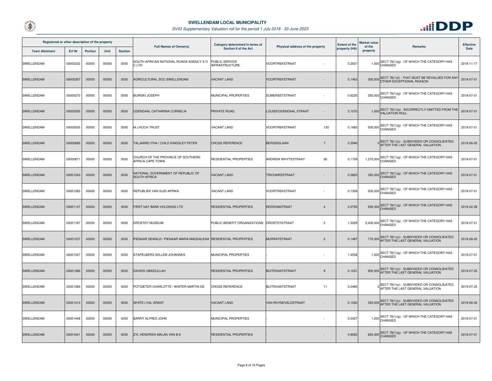



| Registered or other description of the property |          |                |       |                | <b>Full Names of Owner(s)</b>                                   | Category determined in terms of             | Physical address of the property     | <b>Extent of the</b> | Market value<br>of the | <b>Remarks</b>                                                                         | <b>Effective</b> |
|-------------------------------------------------|----------|----------------|-------|----------------|-----------------------------------------------------------------|---------------------------------------------|--------------------------------------|----------------------|------------------------|----------------------------------------------------------------------------------------|------------------|
| <b>Town Allotment</b>                           | Erf Nr   | <b>Portion</b> | Unit  | <b>Section</b> |                                                                 | Section 8 of the Act                        |                                      | property (HA)        | property               |                                                                                        | Date             |
| SWELLENDAM                                      | 00000232 | 00000          | 00000 | 0000           | SOUTH AFRICAN NATIONAL ROADS AGENCY SO<br>C LTD.                | PUBLIC SERVICE<br><b>INFRASTRUCTURE</b>     | VOORTREKSTRAAT                       | 0.2507               |                        | $1,000$ SECT 78(1)(g) - OF WHICH THE CATEGORY HAS<br>CHANGED                           | 2018-11-17       |
| SWELLENDAM                                      | 00000267 | 00000          | 00000 | 0000           | AGRICULTURAL SOC-SWELLENDAM                                     | <b>VACANT LAND</b>                          | <b>VOORTREKSTRAAT</b>                | 0.1463               |                        | 300,000 SECT 78(1)(f) - THAT MUST BE REVALUED FOR AN'<br>OTHER EXCEPTIONAL REASON      | 2018-07-01       |
| SWELLENDAM                                      | 00000270 | 00000          | 00000 | 0000           | <b>BUIRSKI JOSEPH</b>                                           | MUNICIPAL PROPERTIES                        | SOMERSETSTRAAT                       | 0.6225               |                        | 250,000 SECT 78(1)(g) - OF WHICH THE CATEGORY HAS                                      | 2018-07-01       |
| <b>SWELLENDAM</b>                               | 00000305 | 00000          | 00000 | 0000           | ODENDAAL CATHARINA CORNELIA                                     | PRIVATE ROAD                                | LOUISE/ODENDAAL STRAAT               | 3.1070               |                        | 1,000 SECT 78(1)(a) - INCORRECTLY OMITTED FROM THE<br>VALUATION ROLL                   | 2018-07-01       |
| SWELLENDAM                                      | 00000505 | 00000          | 00000 | 0000           | M J KOCH TRUST                                                  | VACANT LAND                                 | VOORTREKSTRAAT<br>130                | 0.1683               |                        | 500,000 SECT 78(1)(g) - OF WHICH THE CATEGORY HAS                                      | 2018-07-01       |
| SWELLENDAM                                      | 00000685 | 00000          | 00000 | 0000           | <b>TALJAARD ITHA / CHILD KINGSLEY PETER</b>                     | <b>CROSS REFERENCE</b>                      | <b>BERGSIGLAAN</b><br>$\overline{7}$ | 0.2946               |                        | 0 SECT 78(1)(c) - SUBDIVIDED OR CONSOLIDATED<br>AFTER THE LAST GENERAL VALUATION       | 2019-06-05       |
| SWELLENDAM                                      | 00000871 | 00000          | 00000 | 0000           | CHURCH OF THE PROVINCE OF SOUTHERN<br>AFRICA-CAPE TOWN          | RESIDENTIAL PROPERTIES                      | ANDREW WHYTESTRAAT<br>26             | 0.1759               |                        | 1,270,000 SECT 78(1)(g) - OF WHICH THE CATEGORY HAS                                    | 2018-07-01       |
| <b>SWELLENDAM</b>                               | 00001043 | 00000          | 00000 | 0000           | NATIONAL GOVERNMENT OF REPUBLIC OF<br>SOUTH AFRICA              | <b>VACANT LAND</b>                          | <b>TRICHARDSTRAAT</b>                | 0.0825               |                        | 350,000 SECT 78(1)(g) - OF WHICH THE CATEGORY HAS                                      | 2018-07-01       |
| SWELLENDAM                                      | 00001083 | 00000          | 00000 | 0000           | REPUBLIEK VAN SUID-AFRIKA                                       | <b>VACANT LAND</b>                          | VOORTREKSTRAAT                       | 0.1358               |                        | SECT 78(1)(g) - OF WHICH THE CATEGORY HAS<br>$500,000$ <sup>SL</sup>                   | 2018-07-01       |
| <b>SWELLENDAM</b>                               | 00001147 | 00000          | 00000 | 0000           | FIRST NAT BANK HOLDINGS LTD                                     | <b>RESIDENTIAL PROPERTIES</b>               | <b>KEEROMSTRAAT</b><br>$\mathbf{A}$  | 0.0793               |                        | SECT 78(1)(g) - OF WHICH THE CATEGORY HAS<br>930,000 CHANGED                           | 2019-02-28       |
| SWELLENDAM                                      | 00001187 | 00000          | 00000 | 0000           | DROSTDY MUSEUM                                                  | PUBLIC BENEFIT ORGANIZATIONS IDROSTDYSTRAAT | $\overline{2}$                       | 1.3029               |                        | $5,400,000$ SECT 78(1)(g) - OF WHICH THE CATEGORY HAS                                  | 2018-07-01       |
| <b>SWELLENDAM</b>                               | 00001237 | 00000          | 00000 | 0000           | PIENAAR DEWALD / PIENAAR MARIA MAGDALENA RESIDENTIAL PROPERTIES |                                             | MURRAYSTRAAT<br>5                    | 0.1487               |                        | 770,000 SECT 78(1)(c) - SUBDIVIDED OR CONSOLIDATED<br>AFTER THE LAST GENERAL VALUATION | 2019-08-20       |
| SWELLENDAM                                      | 00001307 | 00000          | 00000 | 0000           | STAPELBERG WILLEM JOHANNES                                      | MUNICIPAL PROPERTIES                        |                                      | 1.4558               |                        | $1,000$ SECT 78(1)(g) - OF WHICH THE CATEGORY HAS                                      | 2018-07-01       |
| <b>SWELLENDAM</b>                               | 00001366 | 00000          | 00000 | 0000           | DAVIDS UBAIDULLAH                                               | <b>RESIDENTIAL PROPERTIES</b>               | <b>BUITEKANTSTRAAT</b><br>9          | 0.1031               | 900,000                | SECT 78(1)(c) - SUBDIVIDED OR CONSOLIDATED<br>AFTER THE LAST GENERAL VALUATION         | 2019-07-25       |
| SWELLENDAM                                      | 00001369 | 00000          | 00000 | 0000           | POTGIETER CHARLOTTE / WINTER MARTIN DE                          | <b>CROSS REFERENCE</b>                      | <b>BUITEKANTSTRAAT</b><br>11         | 0.0485               |                        | 0 SECT 78(1)(c) - SUBDIVIDED OR CONSOLIDATED<br>AFTER THE LAST GENERAL VALUATION       | 2019-07-25       |
| SWELLENDAM                                      | 00001412 | 00000          | 00000 | 0000           | WHITE LYAL GRANT                                                | <b>VACANT LAND</b>                          | VAN RHYNEVELDSTRAAT                  | 0.1500               |                        | SECT 78(1)(c) - SUBDIVIDED OR CONSOLIDATED<br>350,000 AFTER THE LAST GENERAL VALUATION | 2019-06-05       |
| SWELLENDAM                                      | 00001448 | 00000          | 00000 | 0000           | BARRY ALFRED JOHN                                               | MUNICIPAL PROPERTIES                        |                                      | 0.0427               |                        | 1,000 SECT 78(1)(g) - OF WHICH THE CATEGORY HAS                                        | 2018-07-01       |
| <b>SWELLENDAM</b>                               | 00001641 | 00000          | 00000 | 0000           | ZYL HENDRIKA MALAN VAN B-E                                      | RESIDENTIAL PROPERTIES                      |                                      | 0.8565               |                        | 650,000 SECT 78(1)(g) - OF WHICH THE CATEGORY HAS                                      | 2018-07-01       |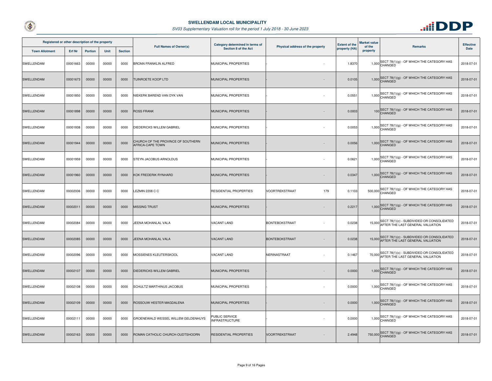



| Registered or other description of the property |               |                |       |                | <b>Full Names of Owner(s)</b>                          | Category determined in terms of         | Physical address of the property | <b>Extent of the</b> | <b>Market value</b><br>of the | <b>Remarks</b>                                                                        | <b>Effective</b> |
|-------------------------------------------------|---------------|----------------|-------|----------------|--------------------------------------------------------|-----------------------------------------|----------------------------------|----------------------|-------------------------------|---------------------------------------------------------------------------------------|------------------|
| <b>Town Allotment</b>                           | <b>Erf Nr</b> | <b>Portion</b> | Unit  | <b>Section</b> |                                                        | Section 8 of the Act                    |                                  | property (HA)        | property                      |                                                                                       | Date             |
| SWELLENDAM                                      | 00001663      | 00000          | 00000 | 0000           | <b>BRONN FRANKLIN ALFRED</b>                           | MUNICIPAL PROPERTIES                    |                                  | 1.8370               |                               | $1,000$ SECT 78(1)(g) - OF WHICH THE CATEGORY HAS<br>CHANGED                          | 2018-07-01       |
| SWELLENDAM                                      | 00001673      | 00000          | 00000 | 0000           | <b>TUINROETE KOOP LTD</b>                              | MUNICIPAL PROPERTIES                    |                                  | 0.0105               |                               | 1,000 SECT 78(1)(g) - OF WHICH THE CATEGORY HAS<br>CHANGED                            | 2018-07-01       |
| SWELLENDAM                                      | 00001850      | 00000          | 00000 | 0000           | NIEKERK BAREND VAN DYK VAN                             | MUNICIPAL PROPERTIES                    |                                  | 0.0551               |                               | 1,000 SECT 78(1)(g) - OF WHICH THE CATEGORY HAS<br>CHANGED                            | 2018-07-01       |
| SWELLENDAM                                      | 00001898      | 00000          | 00000 | 0000           | <b>ROSS FRANK</b>                                      | MUNICIPAL PROPERTIES                    |                                  | 0.0003               |                               | 100 SECT 78(1)(g) - OF WHICH THE CATEGORY HAS                                         | 2018-07-01       |
| SWELLENDAM                                      | 00001938      | 00000          | 00000 | 0000           | <b>DIEDERICKS WILLEM GABRIEL</b>                       | MUNICIPAL PROPERTIES                    |                                  | 0.0053               |                               | 1,000 SECT 78(1)(g) - OF WHICH THE CATEGORY HAS                                       | 2018-07-01       |
| SWELLENDAM                                      | 00001944      | 00000          | 00000 | 0000           | CHURCH OF THE PROVINCE OF SOUTHERN<br>AFRICA-CAPE TOWN | MUNICIPAL PROPERTIES                    |                                  | 0.0056               |                               | 1,000 SECT 78(1)(g) - OF WHICH THE CATEGORY HAS<br>CHANGED                            | 2018-07-01       |
| SWELLENDAM                                      | 00001959      | 00000          | 00000 | 0000           | STEYN JACOBUS ARNOLDUS                                 | MUNICIPAL PROPERTIES                    |                                  | 0.0621               |                               | $1,000$ SECT 78(1)(g) - OF WHICH THE CATEGORY HAS<br>CHANGED                          | 2018-07-01       |
| SWELLENDAM                                      | 00001960      | 00000          | 00000 | 0000           | KOK FREDERIK RYNHARD                                   | MUNICIPAL PROPERTIES                    |                                  | 0.0347               |                               | 1,000 SECT 78(1)(g) - OF WHICH THE CATEGORY HAS<br>CHANGED                            | 2018-07-01       |
| SWELLENDAM                                      | 00002006      | 00000          | 00000 | 0000           | <b>LEZMIN 2208 C C</b>                                 | RESIDENTIAL PROPERTIES                  | VOORTREKSTRAAT<br>179            | 0.1103               |                               | 500,000 SECT 78(1)(g) - OF WHICH THE CATEGORY HAS<br>CHANGED                          | 2018-07-01       |
| SWELLENDAM                                      | 00002011      | 00000          | 00000 | 0000           | <b>MISSING TRUST</b>                                   | MUNICIPAL PROPERTIES                    |                                  | 0.2217               |                               | 1,000 SECT 78(1)(g) - OF WHICH THE CATEGORY HAS<br>CHANGED                            | 2018-07-01       |
| SWELLENDAM                                      | 00002084      | 00000          | 00000 | 0000           | JEENA MOHANLAL VALA                                    | <b>VACANT LAND</b>                      | <b>BONTEBOKSTRAAT</b>            | 0.0238               |                               | 15,000 SECT 78(1)(c) - SUBDIVIDED OR CONSOLIDATED<br>AFTER THE LAST GENERAL VALUATION | 2018-07-01       |
| <b>SWELLENDAM</b>                               | 00002085      | 00000          | 00000 | 0000           | JEENA MOHANLAL VALA                                    | <b>VACANT LAND</b>                      | <b>BONTEBOKSTRAAT</b>            | 0.0238               |                               | 15,000 SECT 78(1)(c) - SUBDIVIDED OR CONSOLIDATED<br>AFTER THE LAST GENERAL VALUATION | 2018-07-01       |
| SWELLENDAM                                      | 00002096      | 00000          | 00000 | 0000           | MOSSIENES KLEUTERSKOOL                                 | <b>VACANT LAND</b>                      | NERINASTRAAT                     | 0.1467               |                               | 70,000 SECT 78(1)(c) - SUBDIVIDED OR CONSOLIDATED<br>AFTER THE LAST GENERAL VALUATION | 2018-07-01       |
| SWELLENDAM                                      | 00002107      | 00000          | 00000 | 0000           | <b>DIEDERICKS WILLEM GABRIEL</b>                       | MUNICIPAL PROPERTIES                    |                                  | 0.0000               |                               | 1,000 SECT 78(1)(g) - OF WHICH THE CATEGORY HAS                                       | 2018-07-01       |
| SWELLENDAM                                      | 00002108      | 00000          | 00000 | 0000           | SCHULTZ MARTHINUS JACOBUS                              | MUNICIPAL PROPERTIES                    |                                  | 0.0000               |                               | $1,000$ SECT 78(1)(g) - OF WHICH THE CATEGORY HAS                                     | 2018-07-01       |
| SWELLENDAM                                      | 00002109      | 00000          | 00000 | 0000           | ROSSOUW HESTER MAGDALENA                               | MUNICIPAL PROPERTIES                    |                                  | 0.0000               |                               | 1,000 SECT 78(1)(g) - OF WHICH THE CATEGORY HAS<br>CHANGED                            | 2018-07-01       |
| SWELLENDAM                                      | 00002111      | 00000          | 00000 | 0000           | GROENEWALD WESSEL WILLEM GELDENHUYS                    | PUBLIC SERVICE<br><b>INFRASTRUCTURE</b> | $\overline{\phantom{a}}$         | 0.0000               |                               | 1,000 SECT 78(1)(g) - OF WHICH THE CATEGORY HAS<br>CHANGED                            | 2018-07-01       |
| SWELLENDAM                                      | 00002163      | 00000          | 00000 | 0000           | ROMAN CATHOLIC CHURCH-OUDTSHOORN                       | RESIDENTIAL PROPERTIES                  | <b>VOORTREKSTRAAT</b>            | 2.4948               |                               | 750,000 SECT 78(1)(g) - OF WHICH THE CATEGORY HAS                                     | 2018-07-01       |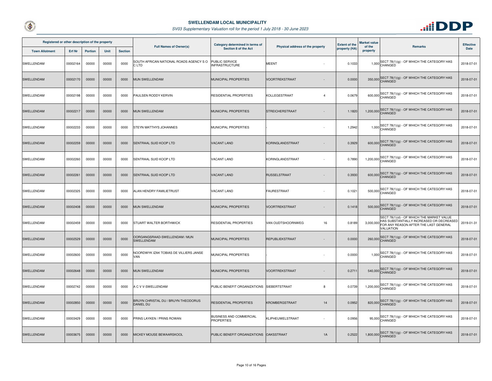



| Registered or other description of the property |          |                |             |                | <b>Full Names of Owner(s)</b>                           | Category determined in terms of              |                                  | <b>Extent of the</b> | <b>Market value</b> |                                                                                                                                                       | <b>Effective</b> |
|-------------------------------------------------|----------|----------------|-------------|----------------|---------------------------------------------------------|----------------------------------------------|----------------------------------|----------------------|---------------------|-------------------------------------------------------------------------------------------------------------------------------------------------------|------------------|
| <b>Town Allotment</b>                           | Erf Nr   | <b>Portion</b> | <b>Unit</b> | <b>Section</b> |                                                         | Section 8 of the Act                         | Physical address of the property | property (HA)        | of the<br>property  | <b>Remarks</b>                                                                                                                                        | Date             |
| SWELLENDAM                                      | 00002164 | 00000          | 00000       | 0000           | SOUTH AFRICAN NATIONAL ROADS AGENCY SO<br>C LTD         | PUBLIC SERVICE<br><b>INFRASTRUCTURE</b>      | <b>MEENT</b>                     | 0.1033               |                     | 1,000 SECT 78(1)(g) - OF WHICH THE CATEGORY HAS<br>CHANGED                                                                                            | 2018-07-01       |
| SWELLENDAM                                      | 00002170 | 00000          | 00000       | 0000           | MUN SWELLENDAM                                          | MUNICIPAL PROPERTIES                         | VOORTREKSTRAAT                   | 0.0000               |                     | 350,000 SECT 78(1)(g) - OF WHICH THE CATEGORY HAS                                                                                                     | 2018-07-01       |
| SWELLENDAM                                      | 00002198 | 00000          | 00000       | 0000           | PAULSEN RODDY KERVIN                                    | RESIDENTIAL PROPERTIES                       | KOLLEGESTRAAT<br>$\overline{4}$  | 0.0679               |                     | 600,000 SECT 78(1)(g) - OF WHICH THE CATEGORY HAS                                                                                                     | 2018-07-01       |
| SWELLENDAM                                      | 00002217 | 00000          | 00000       | 0000           | MUN SWELLENDAM                                          | MUNICIPAL PROPERTIES                         | <b>STREICHERSTRAAT</b>           | 1.1820               |                     | 1,200,000 SECT 78(1)(g) - OF WHICH THE CATEGORY HAS                                                                                                   | 2018-07-01       |
| SWELLENDAM                                      | 00002233 | 00000          | 00000       | 0000           | STEYN MATTHYS JOHANNES                                  | MUNICIPAL PROPERTIES                         |                                  | 1.2942               |                     | 1,000 SECT 78(1)(g) - OF WHICH THE CATEGORY HAS<br>CHANGED                                                                                            | 2018-07-01       |
| <b>SWELLENDAM</b>                               | 00002259 | 00000          | 00000       | 0000           | <b>SENTRAAL SUID KOOP LTD</b>                           | <b>VACANT LAND</b>                           | KORINGLANDSTRAAT                 | 0.3929               |                     | 600,000 SECT 78(1)(g) - OF WHICH THE CATEGORY HAS                                                                                                     | 2018-07-01       |
| SWELLENDAM                                      | 00002260 | 00000          | 00000       | 0000           | SENTRAAL SUID KOOP LTD                                  | VACANT LAND                                  | KORINGLANDSTRAAT                 | 0.7890               |                     | 1,200,000 SECT 78(1)(g) - OF WHICH THE CATEGORY HAS                                                                                                   | 2018-07-01       |
| SWELLENDAM                                      | 00002261 | 00000          | 00000       | 0000           | SENTRAAL SUID KOOP LTD                                  | <b>VACANT LAND</b>                           | <b>RUSSELSTRAAT</b>              | 0.3930               |                     | 600,000 SECT 78(1)(g) - OF WHICH THE CATEGORY HAS                                                                                                     | 2018-07-01       |
| SWELLENDAM                                      | 00002325 | 00000          | 00000       | 0000           | ALAN HENDRY FAMILIETRUST                                | <b>VACANT LAND</b>                           | <b>FAURESTRAAT</b>               | 0.1021               |                     | 500,000 SECT 78(1)(g) - OF WHICH THE CATEGORY HAS<br>CHANGED                                                                                          | 2018-07-01       |
| SWELLENDAM                                      | 00002408 | 00000          | 00000       | 0000           | <b>MUN SWELLENDAM</b>                                   | MUNICIPAL PROPERTIES                         | VOORTREKSTRAAT                   | 0.1418               |                     | 500,000 SECT 78(1)(g) - OF WHICH THE CATEGORY HAS                                                                                                     | 2018-07-01       |
| SWELLENDAM                                      | 00002459 | 00000          | 00000       | 0000           | STUART WALTER BORTHWICK                                 | RESIDENTIAL PROPERTIES                       | VAN OUDTSHOORNWEG<br>16          | 0.8189               |                     | SECT 78(1)(d) - OF WHICH THE MARKET VALUE<br>HAS SUBSTANTIALLY INCREASED OR DECREASED<br>3,000,000 FOR ANY REASON AFTER THE LAST GENERAL<br>VALUATION | 2019-01-31       |
| <b>SWELLENDAM</b>                               | 00002529 | 00000          | 00000       | 0000           | OORGANGSRAAD-SWELLENDAM / MUN<br>SWELLENDAM             | MUNICIPAL PROPERTIES                         | REPUBLIEKSTRAAT                  | 0.0000               |                     | 260,000 SECT 78(1)(g) - OF WHICH THE CATEGORY HAS                                                                                                     | 2018-07-01       |
| SWELLENDAM                                      | 00002600 | 00000          | 00000       | 0000           | NOORDWYK IZAK TOBIAS DE VILLIERS JANSE<br>VAN           | MUNICIPAL PROPERTIES                         |                                  | 0.0000               |                     | $1,000$ SECT 78(1)(g) - OF WHICH THE CATEGORY HAS                                                                                                     | 2018-07-01       |
| <b>SWELLENDAM</b>                               | 00002648 | 00000          | 00000       | 0000           | MUN SWELLENDAM                                          | MUNICIPAL PROPERTIES                         | VOORTREKSTRAAT                   | 0.2711               |                     | 540,000 SECT 78(1)(g) - OF WHICH THE CATEGORY HAS                                                                                                     | 2018-07-01       |
| SWELLENDAM                                      | 00002742 | 00000          | 00000       | 0000           | A C V V-SWELLENDAM                                      | PUBLIC BENEFIT ORGANIZATIONS SIEBERTSTRAAT   | 8                                | 0.0739               |                     | 1,200,000 SECT 78(1)(g) - OF WHICH THE CATEGORY HAS                                                                                                   | 2018-07-01       |
| SWELLENDAM                                      | 00002850 | 00000          | 00000       | 0000           | BRUYN CHRISTAL DU / BRUYN THEODORUS<br><b>DANIEL DU</b> | RESIDENTIAL PROPERTIES                       | KROMBERGSTRAAT<br>14             | 0.0952               |                     | 820,000 SECT 78(1)(g) - OF WHICH THE CATEGORY HAS                                                                                                     | 2018-07-01       |
| SWELLENDAM                                      | 00003429 | 00000          | 00000       | 0000           | PRINS LAYKEN / PRINS ROWAN                              | BUSINESS AND COMMERCIAL<br><b>PROPERTIES</b> | KLIPHEUWELSTRAAT                 | 0.0956               |                     | 95,000 SECT 78(1)(g) - OF WHICH THE CATEGORY HAS                                                                                                      | 2018-07-01       |
| SWELLENDAM                                      | 00003675 | 00000          | 00000       | 0000           | MICKEY MOUSE BEWAARSKOOL                                | PUBLIC BENEFIT ORGANIZATIONS OAKSSTRAAT      | 1A                               | 0.2522               |                     | 1,800,000 SECT 78(1)(g) - OF WHICH THE CATEGORY HAS                                                                                                   | 2018-07-01       |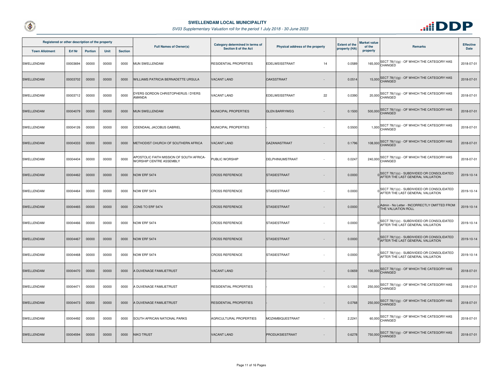



| Registered or other description of the property |          |                |       |                | <b>Full Names of Owner(s)</b>                                       | Category determined in terms of | Physical address of the property | <b>Extent of the</b> | <b>Market value</b> |                                                                                  | <b>Effective</b> |
|-------------------------------------------------|----------|----------------|-------|----------------|---------------------------------------------------------------------|---------------------------------|----------------------------------|----------------------|---------------------|----------------------------------------------------------------------------------|------------------|
| <b>Town Allotment</b>                           | Erf Nr   | <b>Portion</b> | Unit  | <b>Section</b> |                                                                     | Section 8 of the Act            |                                  | property (HA)        | of the<br>property  | <b>Remarks</b>                                                                   | Date             |
| SWELLENDAM                                      | 00003694 | 00000          | 00000 | 0000           | MUN SWELLENDAM                                                      | RESIDENTIAL PROPERTIES          | EDELWEISSTRAAT<br>14             | 0.0589               |                     | 165,000 SECT 78(1)(g) - OF WHICH THE CATEGORY HAS                                | 2018-07-01       |
| <b>SWELLENDAM</b>                               | 00003702 | 00000          | 00000 | 0000           | WILLIAMS PATRICIA BERNADETTE URSULA                                 | <b>VACANT LAND</b>              | <b>OAKSSTRAAT</b>                | 0.0514               |                     | 15,000 SECT 78(1)(g) - OF WHICH THE CATEGORY HAS                                 | 2018-07-01       |
| SWELLENDAM                                      | 00003712 | 00000          | 00000 | 0000           | DYERS GORDON CHRISTOPHERUS / DYERS<br>AMANDA                        | VACANT LAND                     | 22<br>EDELWEISSTRAAT             | 0.0390               |                     | 20,000 SECT 78(1)(g) - OF WHICH THE CATEGORY HAS                                 | 2018-07-01       |
| <b>SWELLENDAM</b>                               | 00004079 | 00000          | 00000 | 0000           | MUN SWELLENDAM                                                      | MUNICIPAL PROPERTIES            | <b>GLEN BARRYWEG</b>             | 0.1500               |                     | 500,000 SECT 78(1)(g) - OF WHICH THE CATEGORY HAS                                | 2018-07-01       |
| SWELLENDAM                                      | 00004126 | 00000          | 00000 | 0000           | ODENDAAL JACOBUS GABRIEL                                            | MUNICIPAL PROPERTIES            |                                  | 0.5500               |                     | 1,000 SECT 78(1)(g) - OF WHICH THE CATEGORY HAS                                  | 2018-07-01       |
| <b>SWELLENDAM</b>                               | 00004333 | 00000          | 00000 | 0000           | METHODIST CHURCH OF SOUTHERN AFRICA                                 | <b>VACANT LAND</b>              | <b>GAZANIASTRAAT</b><br>$\sim$   | 0.1796               |                     | 108,000 SECT 78(1)(g) - OF WHICH THE CATEGORY HAS                                | 2018-07-01       |
| SWELLENDAM                                      | 00004404 | 00000          | 00000 | 0000           | APOSTOLIC FAITH MISSION OF SOUTH AFRICA-<br>WORSHIP CENTRE ASSEMBLY | PUBLIC WORSHIP                  | DELPHINIUMSTRAAT                 | 0.0247               |                     | 240,000 SECT 78(1)(g) - OF WHICH THE CATEGORY HAS                                | 2018-07-01       |
| <b>SWELLENDAM</b>                               | 00004462 | 00000          | 00000 | 0000           | <b>NOW ERF 5474</b>                                                 | <b>CROSS REFERENCE</b>          | <b>STASIESTRAAT</b>              | 0.0000               |                     | 0 SECT 78(1)(c) - SUBDIVIDED OR CONSOLIDATED<br>AFTER THE LAST GENERAL VALUATION | 2019-10-14       |
| SWELLENDAM                                      | 00004464 | 00000          | 00000 | 0000           | NOW ERF 5474                                                        | <b>CROSS REFERENCE</b>          | <b>STASIESTRAAT</b>              | 0.0000               |                     | SECT 78(1)(c) - SUBDIVIDED OR CONSOLIDATED<br>AFTER THE LAST GENERAL VALUATION   | 2019-10-14       |
| <b>SWELLENDAM</b>                               | 00004465 | 00000          | 00000 | 0000           | CONS TO ERF 5474                                                    | <b>CROSS REFERENCE</b>          | <b>STASIESTRAAT</b>              | 0.0000               |                     | Admin - No Letter - INCORRECTLY OMITTED FROM<br>THE VALUATION ROLL               | 2019-10-14       |
| SWELLENDAM                                      | 00004466 | 00000          | 00000 | 0000           | NOW ERF 5474                                                        | <b>CROSS REFERENCE</b>          | <b>STASIESTRAAT</b>              | 0.0000               |                     | SECT 78(1)(c) - SUBDIVIDED OR CONSOLIDATED<br>AFTER THE LAST GENERAL VALUATION   | 2019-10-14       |
| <b>SWELLENDAM</b>                               | 00004467 | 00000          | 00000 | 0000           | NOW ERF 5474                                                        | <b>CROSS REFERENCE</b>          | <b>STASIESTRAAT</b><br>$\sim$    | 0.0000               |                     | 0 SECT 78(1)(c) - SUBDIVIDED OR CONSOLIDATED<br>AFTER THE LAST GENERAL VALUATION | 2019-10-14       |
| SWELLENDAM                                      | 00004468 | 00000          | 00000 | 0000           | <b>NOW ERF 5474</b>                                                 | <b>CROSS REFERENCE</b>          | STASIESTRAAT                     | 0.0000               |                     | SECT 78(1)(c) - SUBDIVIDED OR CONSOLIDATED<br>AFTER THE LAST GENERAL VALUATION   | 2019-10-14       |
| <b>SWELLENDAM</b>                               | 00004470 | 00000          | 00000 | 0000           | A DUVENAGE FAMILIETRUST                                             | <b>VACANT LAND</b>              |                                  | 0.0659               |                     | 100,000 SECT 78(1)(g) - OF WHICH THE CATEGORY HAS                                | 2018-07-01       |
| SWELLENDAM                                      | 00004471 | 00000          | 00000 | 0000           | A DUVENAGE FAMILIETRUST                                             | RESIDENTIAL PROPERTIES          |                                  | 0.1265               |                     | 250,000 SECT 78(1)(g) - OF WHICH THE CATEGORY HAS                                | 2018-07-01       |
| <b>SWELLENDAM</b>                               | 00004473 | 00000          | 00000 | 0000           | A DUVENAGE FAMILIETRUST                                             | RESIDENTIAL PROPERTIES          |                                  | 0.0768               |                     | 250,000 SECT 78(1)(g) - OF WHICH THE CATEGORY HAS                                | 2018-07-01       |
| SWELLENDAM                                      | 00004492 | 00000          | 00000 | 0000           | SOUTH AFRICAN NATIONAL PARKS                                        | AGRICULTURAL PROPERTIES         | MOZAMBIQUESTRAAT                 | 2.2241               |                     | 60,000 SECT 78(1)(g) - OF WHICH THE CATEGORY HAS                                 | 2018-07-01       |
| <b>SWELLENDAM</b>                               | 00004594 | 00000          | 00000 | 0000           | <b>NIKO TRUST</b>                                                   | <b>VACANT LAND</b>              | PRODUKSIESTRAAT                  | 0.6278               |                     | 750,000 SECT 78(1)(g) - OF WHICH THE CATEGORY HAS                                | 2018-07-01       |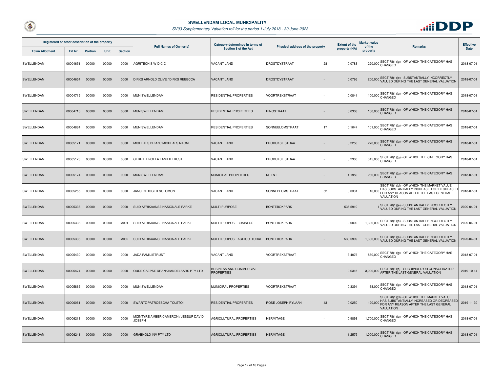



| Registered or other description of the property |          |                |       |                | <b>Full Names of Owner(s)</b>                                        | Category determined in terms of                     |                                  | <b>Extent of the</b> | <b>Market value</b><br>of the | <b>Remarks</b>                                                                                                                                      | <b>Effective</b> |
|-------------------------------------------------|----------|----------------|-------|----------------|----------------------------------------------------------------------|-----------------------------------------------------|----------------------------------|----------------------|-------------------------------|-----------------------------------------------------------------------------------------------------------------------------------------------------|------------------|
| <b>Town Allotment</b>                           | Erf Nr   | <b>Portion</b> | Unit  | <b>Section</b> |                                                                      | Section 8 of the Act                                | Physical address of the property | property (HA)        | property                      |                                                                                                                                                     | Date             |
| SWELLENDAM                                      | 00004651 | 00000          | 00000 | 0000           | AGRITECH S W D C C                                                   | VACANT LAND                                         | DROSTDYSTRAAT<br>28              | 0.0783               |                               | 220,000 SECT 78(1)(g) - OF WHICH THE CATEGORY HAS                                                                                                   | 2018-07-01       |
| <b>SWELLENDAM</b>                               | 00004654 | 00000          | 00000 | 0000           | DIRKS ARNOLD CLIVE / DIRKS REBECCA                                   | <b>VACANT LAND</b>                                  | DROSTDYSTRAAT                    | 0.0795               |                               | 200,000 SECT 78(1)(e) - SUBSTANTIALLY INCORRECTLY<br>VALUED DURING THE LAST GENERAL VALUATION                                                       | 2018-07-01       |
| SWELLENDAM                                      | 00004715 | 00000          | 00000 | 0000           | MUN SWELLENDAM                                                       | RESIDENTIAL PROPERTIES                              | VOORTREKSTRAAT                   | 0.0841               |                               | 100,000 SECT 78(1)(g) - OF WHICH THE CATEGORY HAS<br>CHANGED                                                                                        | 2018-07-01       |
| SWELLENDAM                                      | 00004716 | 00000          | 00000 | 0000           | MUN SWELLENDAM                                                       | RESIDENTIAL PROPERTIES                              | RINGSTRAAT                       | 0.0308               |                               | 100,000 SECT 78(1)(g) - OF WHICH THE CATEGORY HAS                                                                                                   | 2018-07-01       |
| SWELLENDAM                                      | 00004864 | 00000          | 00000 | 0000           | MUN SWELLENDAM                                                       | RESIDENTIAL PROPERTIES                              | SONNEBLOMSTRAAT<br>17            | 0.1047               |                               | 101,000 SECT 78(1)(g) - OF WHICH THE CATEGORY HAS<br>CHANGED                                                                                        | 2018-07-01       |
| <b>SWELLENDAM</b>                               | 00005171 | 00000          | 00000 | 0000           | MICHEALS BRIAN / MICHEALS NAOMI                                      | <b>VACANT LAND</b>                                  | PRODUKSIESTRAAT                  | 0.2250               |                               | 270,000 SECT 78(1)(g) - OF WHICH THE CATEGORY HAS                                                                                                   | 2018-07-01       |
| SWELLENDAM                                      | 00005173 | 00000          | 00000 | 0000           | GERRIE ENGELA FAMILIETRUST                                           | <b>VACANT LAND</b>                                  | PRODUKSIESTRAAT                  | 0.2300               |                               | 345,000 SECT 78(1)(g) - OF WHICH THE CATEGORY HAS                                                                                                   | 2018-07-01       |
| <b>SWELLENDAM</b>                               | 00005174 | 00000          | 00000 | 0000           | MUN SWELLENDAM                                                       | MUNICIPAL PROPERTIES                                | <b>MEENT</b>                     | 1.1950               |                               | 280,000 SECT 78(1)(g) - OF WHICH THE CATEGORY HAS                                                                                                   | 2018-07-01       |
| SWELLENDAM                                      | 00005255 | 00000          | 00000 | 0000           | JANSEN ROGER SOLOMON                                                 | VACANT LAND                                         | SONNEBLOMSTRAAT<br>52            | 0.0331               | 16,000                        | SECT 78(1)(d) - OF WHICH THE MARKET VALUE<br>HAS SUBSTANTIALLY INCREASED OR DECREASED<br>FOR ANY REASON AFTER THE LAST GENERAL<br>VALUATION         | 2018-07-01       |
| <b>SWELLENDAM</b>                               | 00005338 | 00000          | 00000 | 0000           | SUID AFRIKAANSE NASIONALE PARKE                                      | <b>MULTI PURPOSE</b>                                | <b>BONTEBOKPARK</b>              | 535.5910             |                               | SECT 78(1)(e) - SUBSTANTIALLY INCORRECTLY<br>VALUED DURING THE LAST GENERAL VALUATION                                                               | 2020-04-01       |
| SWELLENDAM                                      | 00005338 | 00000          | 00000 | M001           | SUID AFRIKAANSE NASIONALE PARKE                                      | MULTI PURPOSE BUSINESS                              | <b>BONTEBOKPARK</b>              | 2.0000               | 1,300,000                     | SECT 78(1)(e) - SUBSTANTIALLY INCORRECTLY<br>VALUED DURING THE LAST GENERAL VALUATION                                                               | 2020-04-01       |
| SWELLENDAM                                      | 00005338 | 00000          | 00000 | M002           | SUID AFRIKAANSE NASIONALE PARKE                                      | MULTI PURPOSE AGRICULTURAL                          | <b>BONTEBOKPARK</b>              | 533.5909             |                               | 1,300,000 SECT 78(1)(e) - SUBSTANTIALLY INCORRECTLY<br>VALUED DURING THE LAST GENERAL VALUATION                                                     | 2020-04-01       |
| SWELLENDAM                                      | 00005430 | 00000          | 00000 | 0000           | JADA FAMILIETRUST                                                    | VACANT LAND                                         | VOORTREKSTRAAT                   | 3.4076               |                               | 850,000 SECT 78(1)(g) - OF WHICH THE CATEGORY HAS                                                                                                   | 2018-07-01       |
| SWELLENDAM                                      | 00005474 | 00000          | 00000 | 0000           | OUDE CAEPSE DRANKHANDELAARS PTY LTD                                  | <b>BUSINESS AND COMMERCIAL</b><br><b>PROPERTIES</b> |                                  | 0.6315               |                               | 3,000,000 SECT 78(1)(c) - SUBDIVIDED OR CONSOLIDATED<br>AFTER THE LAST GENERAL VALUATION                                                            | 2019-10-14       |
| SWELLENDAM                                      | 00005865 | 00000          | 00000 | 0000           | MUN SWELLENDAM                                                       | MUNICIPAL PROPERTIES                                | VOORTREKSTRAAT                   | 0.3394               |                               | 68,000 SECT 78(1)(g) - OF WHICH THE CATEGORY HAS                                                                                                    | 2018-07-01       |
| <b>SWELLENDAM</b>                               | 00006061 | 00000          | 00000 | 0000           | SWARTZ PATROESCHA TOLSTOI                                            | <b>RESIDENTIAL PROPERTIES</b>                       | ROSE JOSEPH RYLAAN<br>43         | 0.0250               |                               | SECT 78(1)(d) - OF WHICH THE MARKET VALUE<br>HAS SUBSTANTIALLY INCREASED OR DECREASED<br>120,000 FOR ANY REASON AFTER THE LAST GENERAL<br>VALUATION | 2019-11-30       |
| SWELLENDAM                                      | 00006213 | 00000          | 00000 | 0000           | <b><i>MCINTYRE AMBER CAMERON / JESSUP DAVID</i></b><br><b>JOSEPH</b> | AGRICULTURAL PROPERTIES                             | <b>HERMITAGE</b>                 | 0.9893               |                               | 1,700,000 SECT 78(1)(g) - OF WHICH THE CATEGORY HAS                                                                                                 | 2018-07-01       |
| <b>SWELLENDAM</b>                               | 00006241 | 00000          | 00000 | 0000           | <b>GRABHOLD INV PTY LTD</b>                                          | AGRICULTURAL PROPERTIES                             | <b>HERMITAGE</b>                 | 1.2579               |                               | $1,000,000$ SECT 78(1)(g) - OF WHICH THE CATEGORY HAS                                                                                               | 2018-07-01       |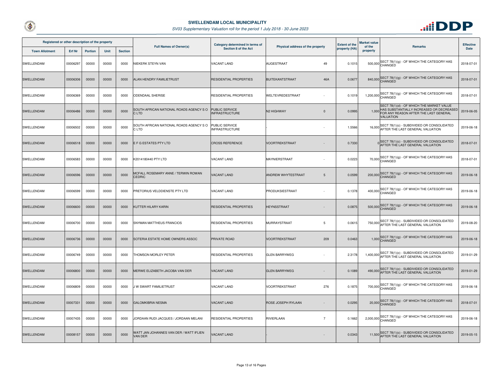



| Registered or other description of the property |          |                |             |                |                                                      | Category determined in terms of                |                                      |  | <b>Extent of the</b> | Market value       |                                                                                                                                             | <b>Effective</b> |
|-------------------------------------------------|----------|----------------|-------------|----------------|------------------------------------------------------|------------------------------------------------|--------------------------------------|--|----------------------|--------------------|---------------------------------------------------------------------------------------------------------------------------------------------|------------------|
| <b>Town Allotment</b>                           | Erf Nr   | <b>Portion</b> | <b>Unit</b> | <b>Section</b> | <b>Full Names of Owner(s)</b>                        | Section 8 of the Act                           | Physical address of the property     |  | property (HA)        | of the<br>property | <b>Remarks</b>                                                                                                                              | Date             |
| SWELLENDAM                                      | 00006297 | 00000          | 00000       | 0000           | <b>VIEKERK STEYN VAN</b>                             | <b>VACANT LAND</b>                             | <b>AUGESTRAAT</b><br>49              |  | 0.1015               |                    | 500,000 SECT 78(1)(g) - OF WHICH THE CATEGORY HAS                                                                                           | 2018-07-01       |
| SWELLENDAM                                      | 00006306 | 00000          | 00000       | 0000           | ALAN HENDRY FAMILIETRUST                             | <b>RESIDENTIAL PROPERTIES</b>                  | 46A<br><b>BUITEKANTSTRAAT</b>        |  | 0.0677               |                    | 840,000 SECT 78(1)(g) - OF WHICH THE CATEGORY HAS                                                                                           | 2018-07-01       |
| SWELLENDAM                                      | 00006369 | 00000          | 00000       | 0000           | ODENDAAL SHERISE                                     | RESIDENTIAL PROPERTIES                         | WELTEVREDESTRAAT                     |  | 0.1019               |                    | 1,200,000 SECT 78(1)(g) - OF WHICH THE CATEGORY HAS                                                                                         | 2018-07-01       |
| <b>SWELLENDAM</b>                               | 00006486 | 00000          | 00000       | 0000           | SOUTH AFRICAN NATIONAL ROADS AGENCY SO<br>C LTD      | <b>PUBLIC SERVICE</b><br><b>INFRASTRUCTURE</b> | N2 HIGHWAY<br>$\mathbf{0}$           |  | 0.0995               | 1,000              | SECT 78(1)(d) - OF WHICH THE MARKET VALUE<br>HAS SUBSTANTIALLY INCREASED OR DECREASED<br>FOR ANY REASON AFTER THE LAST GENERAL<br>VALUATION | 2019-06-05       |
| SWELLENDAM                                      | 00006502 | 00000          | 00000       | 0000           | SOUTH AFRICAN NATIONAL ROADS AGENCY SO<br>C LTD      | <b>PUBLIC SERVICE</b><br><b>INFRASTRUCTURE</b> |                                      |  | 1.5566               |                    | 16,000 SECT 78(1)(c) - SUBDIVIDED OR CONSOLIDATED<br>AFTER THE LAST GENERAL VALUATION                                                       | 2019-06-18       |
| SWELLENDAM                                      | 00006518 | 00000          | 00000       | 0000           | E F G ESTATES PTY LTD                                | <b>CROSS REFERENCE</b>                         | <b>VOORTREKSTRAAT</b>                |  | 0.7330               |                    | 0 SECT 78(1)(c) - SUBDIVIDED OR CONSOLIDATED<br>AFTER THE LAST GENERAL VALUATION                                                            | 2018-07-01       |
| SWELLENDAM                                      | 00006583 | 00000          | 00000       | 0000           | K2014180440 PTY LTD                                  | VACANT LAND                                    | MAYNIERSTRAAT                        |  | 0.0223               |                    | 70,000 SECT 78(1)(g) - OF WHICH THE CATEGORY HAS<br>CHANGED                                                                                 | 2018-07-01       |
| SWELLENDAM                                      | 00006596 | 00000          | 00000       | 0000           | MCFALL ROSEMARY ANNE / TERWIN ROWAN<br><b>CEDRIC</b> | <b>VACANT LAND</b>                             | ANDREW WHYTESTRAAT<br>$\overline{5}$ |  | 0.0599               |                    | 200,000 SECT 78(1)(g) - OF WHICH THE CATEGORY HAS                                                                                           | 2019-06-18       |
| SWELLENDAM                                      | 00006599 | 00000          | 00000       | 0000           | PRETORIUS VELDDIENSTE PTY LTD                        | VACANT LAND                                    | PRODUKSIESTRAAT                      |  | 0.1378               |                    | SECT 78(1)(g) - OF WHICH THE CATEGORY HAS<br>$400,000$ <sup>OEO</sup><br>CHANGED                                                            | 2019-06-18       |
| <b>SWELLENDAM</b>                               | 00006600 | 00000          | 00000       | 0000           | KUTTER HILARY KARIN                                  | <b>RESIDENTIAL PROPERTIES</b>                  | <b>HEYNSSTRAAT</b>                   |  | 0.0875               |                    | 500,000 SECT 78(1)(g) - OF WHICH THE CATEGORY HAS                                                                                           | 2019-06-18       |
| SWELLENDAM                                      | 00006700 | 00000          | 00000       | 0000           | SNYMAN MATTHEUS FRANCIOS                             | RESIDENTIAL PROPERTIES                         | MURRAYSTRAAT<br>5                    |  | 0.0615               |                    | SECT 78(1)(c) - SUBDIVIDED OR CONSOLIDATED<br>750,000 AFTER THE LAST GENERAL VALUATION                                                      | 2019-08-20       |
| <b>SWELLENDAM</b>                               | 00006736 | 00000          | 00000       | 0000           | SOTERIA ESTATE HOME OWNERS ASSOC                     | PRIVATE ROAD                                   | <b>VOORTREKSTRAAT</b><br>209         |  | 0.0463               |                    | $1,000$ SECT 78(1)(g) - OF WHICH THE CATEGORY HAS<br>CHANGED                                                                                | 2019-06-18       |
| SWELLENDAM                                      | 00006749 | 00000          | 00000       | 0000           | <b>FHOMSON MORLEY PETER</b>                          | RESIDENTIAL PROPERTIES                         | <b>GLEN BARRYWEG</b>                 |  | 2.3178               |                    | 1,400,000 SECT 78(1)(c) - SUBDIVIDED OR CONSOLIDATED<br>AFTER THE LAST GENERAL VALUATION                                                    | 2019-01-29       |
| <b>SWELLENDAM</b>                               | 00006800 | 00000          | 00000       | 0000           | MERWE ELIZABETH JACOBA VAN DER                       | <b>VACANT LAND</b>                             | <b>GLEN BARRYWEG</b>                 |  | 0.1089               |                    | 490,000 SECT 78(1)(c) - SUBDIVIDED OR CONSOLIDATED<br>AFTER THE LAST GENERAL VALUATION                                                      | 2019-01-29       |
| SWELLENDAM                                      | 00006809 | 00000          | 00000       | 0000           | I W SWART FAMILIETRUST                               | <b>VACANT LAND</b>                             | <b>VOORTREKSTRAAT</b><br>276         |  | 0.1875               |                    | 700,000 SECT 78(1)(g) - OF WHICH THE CATEGORY HAS                                                                                           | 2019-06-18       |
| SWELLENDAM                                      | 00007331 | 00000          | 00000       | 0000           | GALOMKIBRIA NESMA                                    | <b>VACANT LAND</b>                             | ROSE JOSEPH RYLAAN                   |  | 0.0295               |                    | 20,000 SECT 78(1)(g) - OF WHICH THE CATEGORY HAS                                                                                            | 2018-07-01       |
| SWELLENDAM                                      | 00007435 | 00000          | 00000       | 0000           | JORDAAN RUDI JACQUES / JORDAAN MELANI                | <b>RESIDENTIAL PROPERTIES</b>                  | RIVIERLAAN<br>$\overline{7}$         |  | 0.1662               |                    | 2,000,000 SECT 78(1)(g) - OF WHICH THE CATEGORY HAS                                                                                         | 2019-06-18       |
| <b>SWELLENDAM</b>                               | 00008157 | 00000          | 00000       | 0000           | WATT JAN JOHANNES VAN DER / WATT IFLIEN<br>VAN DER   | <b>VACANT LAND</b>                             |                                      |  | 0.0343               |                    | 11,500 SECT 78(1)(c) - SUBDIVIDED OR CONSOLIDATED<br>AFTER THE LAST GENERAL VALUATION                                                       | 2019-05-15       |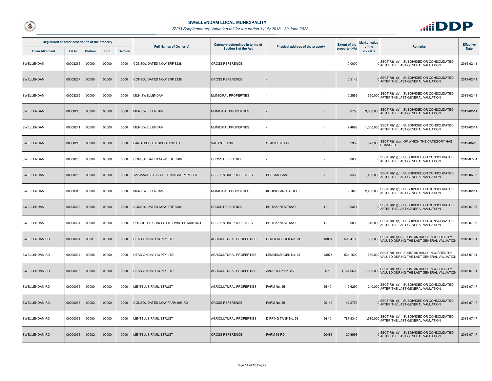



| Registered or other description of the property |               |                |       |                | <b>Full Names of Owner(s)</b>          | Category determined in terms of<br>Section 8 of the Act |                                      | <b>Extent of the</b> | <b>Market value</b><br>of the | <b>Remarks</b>                                                                                  | <b>Effective</b> |
|-------------------------------------------------|---------------|----------------|-------|----------------|----------------------------------------|---------------------------------------------------------|--------------------------------------|----------------------|-------------------------------|-------------------------------------------------------------------------------------------------|------------------|
| <b>Town Allotment</b>                           | <b>Erf Nr</b> | <b>Portion</b> | Unit  | <b>Section</b> |                                        |                                                         | Physical address of the property     | property (HA)        | property                      |                                                                                                 | Date             |
| SWELLENDAM                                      | 00008236      | 00000          | 00000 | 0000           | CONSOLIDATED NOW ERF 8238              | <b>CROSS REFERENCE</b>                                  |                                      | 0.0000               |                               | 0 SECT 78(1)(c) - SUBDIVIDED OR CONSOLIDATED<br>AFTER THE LAST GENERAL VALUATION                | 2019-02-11       |
| SWELLENDAM                                      | 00008237      | 00000          | 00000 | 0000           | CONSOLIDATED NOW ERF 8238              | <b>CROSS REFERENCE</b>                                  |                                      | 0.5145               |                               | O SECT 78(1)(c) - SUBDIVIDED OR CONSOLIDATED<br>AFTER THE LAST GENERAL VALUATION                | 2019-02-11       |
| SWELLENDAM                                      | 00008239      | 00000          | 00000 | 0000           | <b>MUN SWELLENDAM</b>                  | MUNICIPAL PROPERTIES                                    |                                      | 0.2555               |                               | 550,000 SECT 78(1)(c) - SUBDIVIDED OR CONSOLIDATED<br>AFTER THE LAST GENERAL VALUATION          | 2019-02-11       |
| SWELLENDAM                                      | 00008240      | 00000          | 00000 | 0000           | MUN SWELLENDAM                         | MUNICIPAL PROPERTIES                                    |                                      | 6.6750               |                               | 9,650,000 SECT 78(1)(c) - SUBDIVIDED OR CONSOLIDATED<br>AFTER THE LAST GENERAL VALUATION        | 2019-02-11       |
| SWELLENDAM                                      | 00008241      | 00000          | 00000 | 0000           | MUN SWELLENDAM                         | MUNICIPAL PROPERTIES                                    |                                      | 2.4893               |                               | 1,000,000 SECT 78(1)(c) - SUBDIVIDED OR CONSOLIDATED                                            | 2019-02-11       |
| <b>SWELLENDAM</b>                               | 00008246      | 00000          | 00000 | 0000           | ANGEBERG BESPROEIING C C               | <b>VACANT LAND</b>                                      | <b>STASIESTRAAT</b>                  | 0.2352               |                               | 570,000 SECT 78(1)(g) - OF WHICH THE CATEGORY HAS                                               | 2019-06-18       |
| SWELLENDAM                                      | 00008285      | 00000          | 00000 | 0000           | CONSOLIDATED NOW ERF 8286              | <b>CROSS REFERENCE</b>                                  | $\overline{7}$                       | 0.0000               |                               | 0 SECT 78(1)(c) - SUBDIVIDED OR CONSOLIDATED<br>AFTER THE LAST GENERAL VALUATION                | 2018-07-01       |
| SWELLENDAM                                      | 00008286      | 00000          | 00000 | 0000           | TALJAARD ITHA / CHILD KINGSLEY PETER   | <b>RESIDENTIAL PROPERTIES</b>                           | <b>BERGSIGLAAN</b><br>$\overline{7}$ | 0.3450               |                               | 1,400,000 SECT 78(1)(c) - SUBDIVIDED OR CONSOLIDATED<br>AFTER THE LAST GENERAL VALUATION        | 2019-06-05       |
| SWELLENDAM                                      | 00008313      | 00000          | 00000 | 0000           | <b>MUN SWELLENDAM</b>                  | <b>MUNICIPAL PROPERTIES</b>                             | <b>KORINGLAND STREET</b>             | 2.1870               |                               | 2,400,000 SECT 78(1)(c) - SUBDIVIDED OR CONSOLIDATED<br>AFTER THE LAST GENERAL VALUATION        | 2019-02-11       |
| SWELLENDAM                                      | 00008333      | 00000          | 00000 | 0000           | CONSOLIDATED NOW ERF 8334              | <b>CROSS REFERENCE</b>                                  | <b>BUITEKANTSTRAAT</b><br>11         | 0.0347               |                               | SECT 78(1)(c) - SUBDIVIDED OR CONSOLIDATED<br>AFTER THE LAST GENERAL VALUATION                  | 2019-07-25       |
| SWELLENDAM                                      | 00008334      | 00000          | 00000 | 0000           | POTGIETER CHARLOTTE / WINTER MARTIN DE | RESIDENTIAL PROPERTIES                                  | <b>BUITEKANTSTRAAT</b><br>11         | 0.0832               |                               | 610,000 SECT 78(1)(c) - SUBDIVIDED OR CONSOLIDATED<br>AFTER THE LAST GENERAL VALUATION          | 2019-07-25       |
| <b>SWELLENDAM RD</b>                            | 00000024      | 00001          | 00000 | 0000           | HEAD ON INV 113 PTY LTD                | <b>AGRICULTURAL PROPERTIES</b>                          | LEMOENSHOEK No. 24<br>43854          | 599.4100             |                               | 600,000 SECT 78(1)(e) - SUBSTANTIALLY INCORRECTLY<br>VALUED DURING THE LAST GENERAL VALUATION   | 2018-07-01       |
| SWELLENDAM RD                                   | 00000024      | 00005          | 00000 | 0000           | HEAD ON INV 113 PTY LTD                | AGRICULTURAL PROPERTIES                                 | LEMOENSHOEK No. 24<br>43975          | 534.1690             |                               | 530,000 SECT 78(1)(e) - SUBSTANTIALLY INCORRECTLY<br>VALUED DURING THE LAST GENERAL VALUATION   | 2018-07-01       |
| <b>SWELLENDAM RD</b>                            | 00000026      | 00000          | 00000 | 0000           | HEAD ON INV 113 PTY LTD                | AGRICULTURAL PROPERTIES                                 | ZANDHOEK No. 26<br>26/0              | 1,164.6600           |                               | 1,200,000 SECT 78(1)(e) - SUBSTANTIALLY INCORRECTLY<br>VALUED DURING THE LAST GENERAL VALUATION | 2018-07-01       |
| SWELLENDAM RD                                   | 00000055      | 00000          | 00000 | 0000           | LENTELUS FAMILIETRUST                  | AGRICULTURAL PROPERTIES                                 | FARM No. 55<br>55/0                  | 119.6290             |                               | 240,000 SECT 78(1)(c) - SUBDIVIDED OR CONSOLIDATED<br>AFTER THE LAST GENERAL VALUATION          | 2019-07-17       |
| SWELLENDAM RD                                   | 00000055      | 00003          | 00000 | 0000           | CONSOLIDATED NOW FARM 693 RD           | <b>CROSS REFERENCE</b>                                  | FARM No. 55<br>20149                 | 47.2757              |                               | 0 SECT 78(1)(c) - SUBDIVIDED OR CONSOLIDATED<br>AFTER THE LAST GENERAL VALUATION                | 2019-07-17       |
| SWELLENDAM RD                                   | 00000056      | 00000          | 00000 | 0000           | LENTELUS FAMILIETRUST                  | AGRICULTURAL PROPERTIES                                 | DIPPING TANK No. 56<br>56/0          | 787.5340             |                               | 1,580,000 SECT 78(1)(c) - SUBDIVIDED OR CONSOLIDATED<br>AFTER THE LAST GENERAL VALUATION        | 2019-07-17       |
| <b>SWELLENDAM RD</b>                            | 00000056      | 00002          | 00000 | 0000           | <b>LENTELUS FAMILIETRUST</b>           | <b>CROSS REFERENCE</b>                                  | FARM 56 RD<br>20486                  | 20.6993              |                               | 0 SECT 78(1)(c) - SUBDIVIDED OR CONSOLIDATED<br>AFTER THE LAST GENERAL VALUATION                | 2019-07-17       |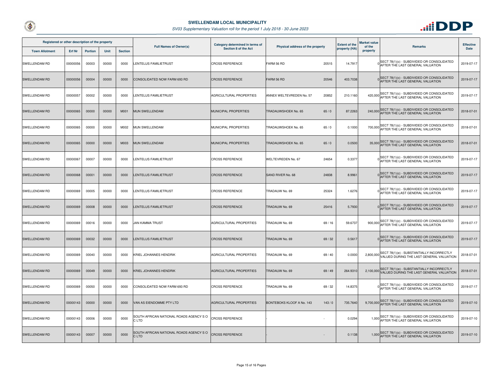



| Registered or other description of the property |          |                |             |                | <b>Full Names of Owner(s)</b>                   | Category determined in terms of | Physical address of the property |         | <b>Extent of the</b> | <b>Market value</b><br>of the | <b>Remarks</b>                                                                                  | <b>Effective</b> |
|-------------------------------------------------|----------|----------------|-------------|----------------|-------------------------------------------------|---------------------------------|----------------------------------|---------|----------------------|-------------------------------|-------------------------------------------------------------------------------------------------|------------------|
| <b>Town Allotment</b>                           | Erf Nr   | <b>Portion</b> | <b>Unit</b> | <b>Section</b> |                                                 | Section 8 of the Act            |                                  |         | property (HA)        | property                      |                                                                                                 | <b>Date</b>      |
| SWELLENDAM RD                                   | 00000056 | 00003          | 00000       | 0000           | LENTELUS FAMILIETRUST                           | <b>CROSS REFERENCE</b>          | FARM 56 RD                       | 20515   | 14.7917              |                               | O SECT 78(1)(c) - SUBDIVIDED OR CONSOLIDATED<br>AFTER THE LAST GENERAL VALUATION                | 2019-07-17       |
| SWELLENDAM RD                                   | 00000056 | 00004          | 00000       | 0000           | CONSOLIDATED NOW FARM 693 RD                    | <b>CROSS REFERENCE</b>          | FARM 56 RD                       | 20546   | 403.7038             |                               | SECT 78(1)(c) - SUBDIVIDED OR CONSOLIDATED<br>AFTER THE LAST GENERAL VALUATION                  | 2019-07-17       |
| SWELLENDAM RD                                   | 00000057 | 00002          | 00000       | 0000           | <b>ENTELUS FAMILIETRUST</b>                     | AGRICULTURAL PROPERTIES         | ANNEX WELTEVREDEN No. 57         | 20852   | 210.1160             |                               | SECT 78(1)(c) - SUBDIVIDED OR CONSOLIDATED<br>420,000 AFTER THE LAST GENERAL VALUATION          | 2019-07-17       |
| <b>SWELLENDAM RD</b>                            | 00000065 | 00000          | 00000       | M001           | MUN SWELLENDAM                                  | MUNICIPAL PROPERTIES            | TRADAUWSHOEK No. 65              | 65/0    | 87.2263              |                               | SECT 78(1)(c) - SUBDIVIDED OR CONSOLIDATED<br>240,000 AFTER THE LAST GENERAL VALUATION          | 2018-07-01       |
| SWELLENDAM RD                                   | 00000065 | 00000          | 00000       | M002           | <b>MUN SWELLENDAM</b>                           | MUNICIPAL PROPERTIES            | TRADAUWSHOEK No. 65              | 65/0    | 0.1000               |                               | SECT 78(1)(c) - SUBDIVIDED OR CONSOLIDATED<br>700,000 AFTER THE LAST GENERAL VALUATION          | 2018-07-01       |
| SWELLENDAM RD                                   | 00000065 | 00000          | 00000       | M003           | <b>MUN SWELLENDAM</b>                           | <b>MUNICIPAL PROPERTIES</b>     | TRADAUWSHOEK No. 65              | 65/0    | 0.0500               |                               | 35,000 SECT 78(1)(c) - SUBDIVIDED OR CONSOLIDATED<br>AFTER THE LAST GENERAL VALUATION           | 2018-07-01       |
| SWELLENDAM RD                                   | 00000067 | 00007          | 00000       | 0000           | ENTELUS FAMILIETRUST                            | <b>CROSS REFERENCE</b>          | <b>WELTEVREDEN No. 67</b>        | 24654   | 0.3377               |                               | SECT 78(1)(c) - SUBDIVIDED OR CONSOLIDATED<br>AFTER THE LAST GENERAL VALUATION                  | 2019-07-17       |
| <b>SWELLENDAM RD</b>                            | 00000068 | 00001          | 00000       | 0000           | LENTELUS FAMILIETRUST                           | <b>CROSS REFERENCE</b>          | SAND RIVER No. 68                | 24838   | 8.9961               |                               | SECT 78(1)(c) - SUBDIVIDED OR CONSOLIDATED<br>AFTER THE LAST GENERAL VALUATION                  | 2019-07-17       |
| SWELLENDAM RD                                   | 00000069 | 00005          | 00000       | 0000           | <b>ENTELUS FAMILIETRUST</b>                     | <b>CROSS REFERENCE</b>          | TRADAUW No. 69                   | 25324   | 1.6276               |                               | SECT 78(1)(c) - SUBDIVIDED OR CONSOLIDATED<br>AFTER THE LAST GENERAL VALUATION                  | 2019-07-17       |
| SWELLENDAM RD                                   | 00000069 | 00008          | 00000       | 0000           | <b>ENTELUS FAMILIETRUST</b>                     | <b>CROSS REFERENCE</b>          | TRADAUW No. 69                   | 25416   | 5.7930               |                               | SECT 78(1)(c) - SUBDIVIDED OR CONSOLIDATED<br>AFTER THE LAST GENERAL VALUATION                  | 2019-07-17       |
| SWELLENDAM RD                                   | 00000069 | 00016          | 00000       | 0000           | <b>JAN KAMMA TRUST</b>                          | AGRICULTURAL PROPERTIES         | TRADAUW No. 69                   | 69/16   | 59.6737              | 900,000                       | SECT 78(1)(c) - SUBDIVIDED OR CONSOLIDATED<br>AFTER THE LAST GENERAL VALUATION                  | 2019-07-17       |
| SWELLENDAM RD                                   | 00000069 | 00032          | 00000       | 0000           | <b>ENTELUS FAMILIETRUST</b>                     | <b>CROSS REFERENCE</b>          | TRADAUW No. 69                   | 69/32   | 0.5617               |                               | OSECT 78(1)(c) - SUBDIVIDED OR CONSOLIDATED<br>AFTER THE LAST GENERAL VALUATION                 | 2019-07-17       |
| SWELLENDAM RD                                   | 00000069 | 00040          | 00000       | 0000           | KRIEL JOHANNES HENDRIK                          | AGRICULTURAL PROPERTIES         | TRADAUW No. 69                   | 69 / 40 | 0.0000               |                               | 2,800,000 SECT 78(1)(e) - SUBSTANTIALLY INCORRECTLY<br>VALUED DURING THE LAST GENERAL VALUATION | 2018-07-01       |
| SWELLENDAM RD                                   | 00000069 | 00049          | 00000       | 0000           | KRIEL JOHANNES HENDRIK                          | AGRICULTURAL PROPERTIES         | TRADAUW No. 69                   | 69/49   | 264.9310             |                               | 2,100,000 SECT 78(1)(e) - SUBSTANTIALLY INCORRECTLY<br>VALUED DURING THE LAST GENERAL VALUATION | 2018-07-01       |
| <b>SWELLENDAM RD</b>                            | 00000069 | 00050          | 00000       | 0000           | CONSOLIDATED NOW FARM 693 RD                    | <b>CROSS REFERENCE</b>          | TRADAUW No. 69                   | 69/32   | 14.8375              |                               | SECT 78(1)(c) - SUBDIVIDED OR CONSOLIDATED<br>AFTER THE LAST GENERAL VALUATION                  | 2019-07-17       |
| <b>SWELLENDAM RD</b>                            | 00000143 | 00000          | 00000       | 0000           | VAN AS EIENDOMME PTY LTD                        | AGRICULTURAL PROPERTIES         | BONTEBOKS KLOOF A No. 143        | 143/0   | 735.7640             |                               | SECT 78(1)(c) - SUBDIVIDED OR CONSOLIDATED<br>9,700,000 AFTER THE LAST GENERAL VALUATION        | 2019-07-10       |
| SWELLENDAM RD                                   | 00000143 | 00006          | 00000       | 0000           | SOUTH AFRICAN NATIONAL ROADS AGENCY SO<br>C LTD | <b>CROSS REFERENCE</b>          |                                  |         | 0.0294               |                               | 1,000 SECT 78(1)(c) - SUBDIVIDED OR CONSOLIDATED<br>AFTER THE LAST GENERAL VALUATION            | 2019-07-10       |
| <b>SWELLENDAM RD</b>                            | 00000143 | 00007          | 00000       | 0000           | SOUTH AFRICAN NATIONAL ROADS AGENCY SO<br>C LTD | <b>CROSS REFERENCE</b>          |                                  |         | 0.1138               |                               | 1,000 SECT 78(1)(c) - SUBDIVIDED OR CONSOLIDATED<br>AFTER THE LAST GENERAL VALUATION            | 2019-07-10       |